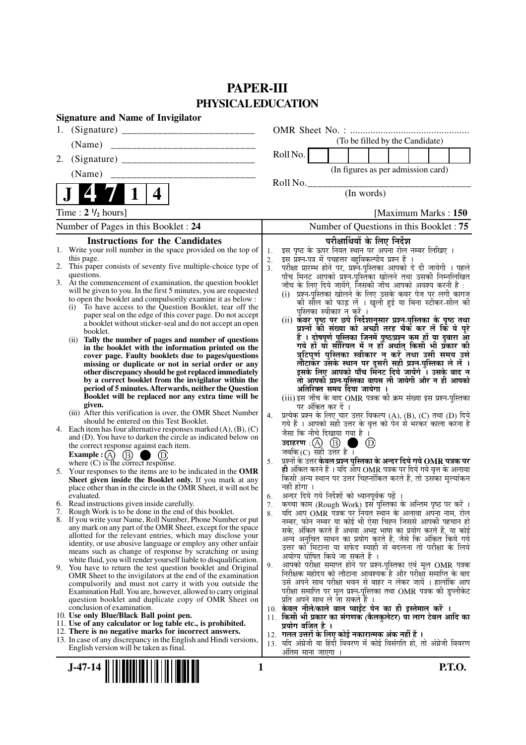# **PAPER-III PHYSICAL EDUCATION**

| <b>Signature and Name of Invigilator</b>                                                                                     |                                                                                                                                                       |
|------------------------------------------------------------------------------------------------------------------------------|-------------------------------------------------------------------------------------------------------------------------------------------------------|
| 1.                                                                                                                           |                                                                                                                                                       |
| (Name)                                                                                                                       | (To be filled by the Candidate)                                                                                                                       |
| 2.                                                                                                                           | Roll No.                                                                                                                                              |
| (Name)                                                                                                                       | (In figures as per admission card)                                                                                                                    |
| 4                                                                                                                            | Roll No.<br>(In words)                                                                                                                                |
|                                                                                                                              |                                                                                                                                                       |
| Time: $2 \frac{1}{2}$ hours]                                                                                                 | [Maximum Marks: 150]                                                                                                                                  |
| Number of Pages in this Booklet : 24                                                                                         | Number of Questions in this Booklet: 75                                                                                                               |
| <b>Instructions for the Candidates</b>                                                                                       | परीक्षार्थियों के लिए निर्देश                                                                                                                         |
| 1. Write your roll number in the space provided on the top of<br>this page.                                                  | इस पृष्ठ के ऊपर नियत स्थान पर अपना रोल नम्बर लिखिए ।<br>1.<br>इस प्रश्न-पत्र में पचहत्तर बहुविकल्पीय प्रश्न हैं ।<br>2.                               |
| This paper consists of seventy five multiple-choice type of<br>2.                                                            | परीक्षा प्रारम्भ होने पर, प्रश्नॅ-पुस्तिका आपको दे दी जायेगी । पहले<br>3 <sub>1</sub>                                                                 |
| questions.<br>3. At the commencement of examination, the question booklet                                                    | पाँच मिनट आपको प्रश्न-पुस्तिका खोलने तथा उसकी निम्नलिखित<br>जाँच के लिए दिये जायेंगे, जिसकी जाँच आपको अवश्य करनी है :                                 |
| will be given to you. In the first 5 minutes, you are requested                                                              | (i)  प्रश्न-पुस्तिका खोलने के लिए उसके कवर पेज पर लगी कागज                                                                                            |
| to open the booklet and compulsorily examine it as below :<br>(i) To have access to the Question Booklet, tear off the       | की सील को फाड़ लें । खुली हुई या बिना स्टीकर-सील की                                                                                                   |
| paper seal on the edge of this cover page. Do not accept                                                                     | पुस्तिका स्वीकार न करें ।                                                                                                                             |
| a booklet without sticker-seal and do not accept an open                                                                     | (ii) कवर पृष्ठ पर छपे निर्देशानुसार प्रश्न्-पुस्तिका के पृष्ठ तथा<br>प्रश्नों की संख्या को अच्छी तरह चैक कर लें कि ये पूरे                            |
| booklet.<br>(ii) Tally the number of pages and number of questions                                                           | हैं । दोषपूर्ण पुस्तिका जि़नमें पृष्ठ/प्रश्न कूम हों या दुबारा आूँ                                                                                    |
| in the booklet with the information printed on the                                                                           | गये हों यो सीरियल में न हों अर्थात् किसी भी प्रॅकार की                                                                                                |
| cover page. Faulty booklets due to pages/questions<br>missing or duplicate or not in serial order or any                     | त्रुटिपूर्ण पुस्तिका स्वीकार न करें तथा उसी समय उसे<br>लौटाकेंर उसके स्थान पर दूसरी सही प्रश्न-पुस्तिका ले लें ।                                      |
| other discrepancy should be got replaced immediately                                                                         | इसके लिए आपको पाँच मिनट दिये जायेंगे । उसके बाद न                                                                                                     |
| by a correct booklet from the invigilator within the<br>period of 5 minutes. Afterwards, neither the Question                | तो आपकी प्रश्न-पुस्तिका वापस ली जायेगी और न ही आपको                                                                                                   |
| Booklet will be replaced nor any extra time will be                                                                          | अतिरिक्त समय दिया जायेगा ।<br>(iii) इस जाँच के बाद OMR पत्रक की क्रम संख्या इस प्रश्न-पुस्तिका                                                        |
| given.                                                                                                                       | पर अंकित कर दें ।                                                                                                                                     |
| (iii) After this verification is over, the OMR Sheet Number<br>should be entered on this Test Booklet.                       | प्रत्येक प्रश्न के लिए चार उत्तर विकल्प (A), (B), (C) तथा (D) दिये<br>4.                                                                              |
| 4. Each item has four alternative responses marked $(A)$ , $(B)$ , $(C)$                                                     | गये हैं । आपको सही उत्तर के वृत्त को पेन से भरकर काला करना है<br>जैसा कि नीचे दिखाया गया है ।                                                         |
| and (D). You have to darken the circle as indicated below on<br>the correct response against each item.                      | उदाहरण: $(A)$ $(B)$<br>$\circled{D}$                                                                                                                  |
| Example : $(A)$<br>(B)                                                                                                       | जबकि $(C)$ सही उत्तर है ।                                                                                                                             |
| where $(C)$ is the correct response.                                                                                         | प्रश्नों के उत्तर <b>केवल प्रश्न पुस्तिका के अन्दर दिये गये OMR पत्रक पर</b><br>5.<br>ही अंकित करने हैं । यदि आप OMR पत्रक पर दिये गये वृत्त के अलावा |
| 5. Your responses to the items are to be indicated in the OMR<br>Sheet given inside the Booklet only. If you mark at any     | किसी अन्य स्थान पर उत्तर चिह्नांकित करते हैं, तो उसका मृल्यांकन                                                                                       |
| place other than in the circle in the OMR Sheet, it will not be                                                              | नहीं होगा ।                                                                                                                                           |
| evaluated.<br>6. Read instructions given inside carefully.                                                                   | अन्दर दिये गये निर्देशों को ध्यानपूर्वक पढ़ें<br>6.<br>कच्चा काम (Rough Work) इस पुस्तिका के अन्तिम पृष्ठ पर करें ।                                   |
| 7. Rough Work is to be done in the end of this booklet.                                                                      | 7.<br>यदि आप OMR पत्रक पर नियत स्थान के अलावा अपना नाम, रोल<br>8.                                                                                     |
| 8. If you write your Name, Roll Number, Phone Number or put                                                                  | नम्बर, फोन नम्बर या कोई भी ऐसा चिह्न जिससे आपकी पहचान हो                                                                                              |
| any mark on any part of the OMR Sheet, except for the space<br>allotted for the relevant entries, which may disclose your    | सके, अंकित करते हैं अथवा अभद्र भाषा का प्रयोग करते हैं, या कोई<br>अन्य अनुचित साधन का प्रयोग करते हैं, जैसे कि अंकित किये गये                         |
| identity, or use abusive language or employ any other unfair                                                                 | उत्तर को मिटाना या सफेद स्याही से बदलना तो परीक्षा के लिये                                                                                            |
| means such as change of response by scratching or using<br>white fluid, you will render yourself liable to disqualification. | अयोग्य घोषित किये जा सकते हैं ।                                                                                                                       |
| 9. You have to return the test question booklet and Original                                                                 | आपको परीक्षा समाप्त होने पर प्रश्न-पुस्तिका एवं मूल OMR पत्रक<br>9.                                                                                   |
| OMR Sheet to the invigilators at the end of the examination<br>compulsorily and must not carry it with you outside the       | निरीक्षक महोदय को लौटाना आवश्यक है और परीक्षा समाप्ति के बाद<br>उसे अपने साथ परीक्षा भवन से बाहर न लेकर जायें । हालांकि आप                            |
| Examination Hall. You are, however, allowed to carry original                                                                | परीक्षा समाप्ति पर मूल प्रश्न-पुस्तिका तथा OMR पत्रक की डुप्लीकेट                                                                                     |
| question booklet and duplicate copy of OMR Sheet on<br>conclusion of examination.                                            | प्रति अपने साथ ले जा सकते हैं ।<br>10. केवल नीले/काले बाल प्वाईंट पेन का ही इस्तेमाल करें ।                                                           |
| 10. Use only Blue/Black Ball point pen.                                                                                      | 11. किसी भी प्रकार का संगणक (कैलकुलेटर) या लाग टेबल आदि का                                                                                            |
| 11. Use of any calculator or log table etc., is prohibited.                                                                  | प्रयोग वर्जित है ।                                                                                                                                    |
| 12. There is no negative marks for incorrect answers.<br>13. In case of any discrepancy in the English and Hindi versions,   | 12.  गलत उत्तरों के लिए कोई नकारात्मक अंक नहीं हैं ।<br>13. यदि अंग्रेजी या हिंदी विवरण में कोई विसंगति हो, तो अंग्रेजी विवरण                         |
| English version will be taken as final.                                                                                      | ओंतम माना जाएगा                                                                                                                                       |
|                                                                                                                              |                                                                                                                                                       |
| $J-47-14$                                                                                                                    | 1<br>P.T.O.                                                                                                                                           |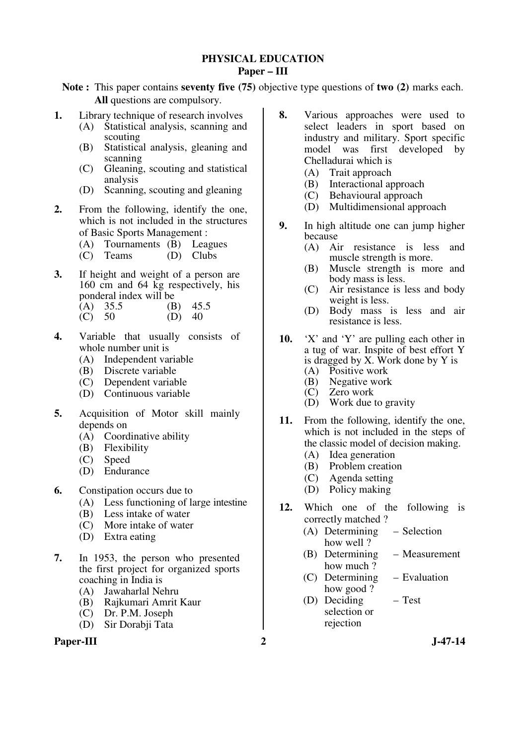#### **PHYSICAL EDUCATION Paper – III**

**Note :** This paper contains **seventy five (75)** objective type questions of **two (2)** marks each. **All** questions are compulsory.

- **1.** Library technique of research involves
	- (A) Statistical analysis, scanning and scouting
	- (B) Statistical analysis, gleaning and scanning
	- (C) Gleaning, scouting and statistical analysis
	- (D) Scanning, scouting and gleaning
- **2.** From the following, identify the one, which is not included in the structures of Basic Sports Management :
	- (A) Tournaments (B) Leagues
	- (C) Teams (D) Clubs
- **3.** If height and weight of a person are 160 cm and 64 kg respectively, his ponderal index will be  $(A)$  35.5 (B)
	- (B)  $45.5$ <br>(D)  $40$  $\vec{C}$  50
- **4.** Variable that usually consists of whole number unit is
	- (A) Independent variable
	- (B) Discrete variable
	- (C) Dependent variable
	- (D) Continuous variable
- **5.** Acquisition of Motor skill mainly depends on
	- (A) Coordinative ability
	- (B) Flexibility
	- (C) Speed
	- (D) Endurance
- **6.** Constipation occurs due to
	- (A) Less functioning of large intestine
	- (B) Less intake of water
	- (C) More intake of water
	- (D) Extra eating
- **7.** In 1953, the person who presented the first project for organized sports coaching in India is
	- (A) Jawaharlal Nehru
	- (B) Rajkumari Amrit Kaur
	- (C) Dr. P.M. Joseph
	- (D) Sir Dorabji Tata

#### Paper-III 2 J-47-14

- **8.** Various approaches were used to select leaders in sport based on industry and military. Sport specific model was first developed by Chelladurai which is
	- (A) Trait approach
	- (B) Interactional approach
	- (C) Behavioural approach
	- (D) Multidimensional approach
- **9.** In high altitude one can jump higher because
	- (A) Air resistance is less and muscle strength is more.
	- (B) Muscle strength is more and body mass is less.
	- (C) Air resistance is less and body weight is less.
	- (D) Body mass is less and air resistance is less.
- **10.** 'X' and 'Y' are pulling each other in a tug of war. Inspite of best effort Y is dragged by X. Work done by Y is
	- (A) Positive work<br>(B) Negative work
	- (B) Negative work<br>(C) Zero work
	- $(C)$  Zero work<br>  $(D)$  Work due t Work due to gravity
- **11.** From the following, identify the one, which is not included in the steps of the classic model of decision making.
	- (A) Idea generation
	- (B) Problem creation
	- (C) Agenda setting
	- (D) Policy making
- **12.** Which one of the following is correctly matched ?
	- (A) Determining how well ? – Selection
	- (B) Determining how much ? – Measurement
	- (C) Determining how good ? – Evaluation
	- (D) Deciding selection or rejection – Test
		-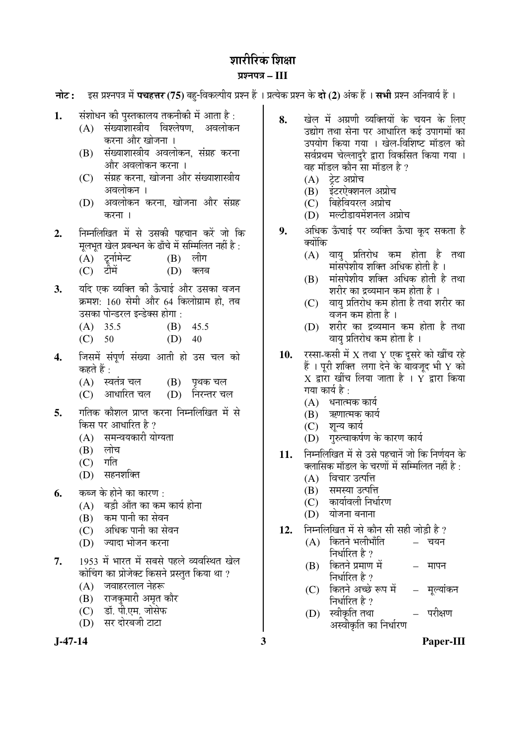# शारीरिक शिक्षा

## ¯ÖÏ¿®Ö¯Ö¡Ö **– III**

**नोट: द्रिस प्रश्नपत्र में पचहत्तर (75)** बह-विकल्पीय प्रश्न हैं । प्रत्येक प्रश्न के **दो (2)** अंक हैं । सभी प्रश्न अनिवार्य हैं ।

- **1.** संशोधन की पुस्तकालय तकनीकी में आता है :
	- (A) संख्याशास्त्रीय विश्लेषण, अवलोकन करना और खोजना ।
	- (B) संख्याशास्त्रीय अवलोकन, संग्रह करना और अवलोकन करना ।
	- (C) संग्रह करना, खोजना और संख्याशास्त्रीय अवलोकन ।
	- (D) अवलोकन करना, खोजना और संग्रह करना ।
- **2.** ×®Ö´®Ö×»Ö×ÜÖŸÖ ´Öë ÃÖê ˆÃÖÛúß ¯ÖÆü"ÖÖ®Ö Ûú¸ëü •ÖÖê ×Ûú मूलभूत खेल प्रबन्धन के ढाँचे में सम्मिलित नहीं है :<br>(A) टर्नामेन्ट (B) लीग
	- $(A)$  टूर्नामेन्ट  $(B)$
	- (C) टीमें (D) क्लब
- 3. यदि एक व्यक्ति की ऊँचाई और उसका वजन क्रमश: 160 सेमी और 64 किलोग्राम हो, तब उसका पोन्डरल इन्डेक्स होगा :
	- (A) 35.5 (B) 45.5
	- $(C)$  50  $(D)$  40
- 4. जिसमें संपर्ण संख्या आती हो उस चल को कहते हैं :
	- $(A)$  स्वतंत्र चल  $(B)$  पृथक चल
	- (C) आधारित चल (D) निरन्तर चल
- 5. गतिक कौशल प्राप्त करना निम्नलिखित में से किस पर आधारित है ?
	- (A) समन्वयकारी योग्यता<br>(B) लोच
	- (B) लोच<br>*(C*) गति
	- $(C)$
	- (D) सहनशक्ति
- **6.** कब्ज के होने का कारण :
	- $(A)$  वडी आँत का कम कार्य होना
	- (B) कम पानी का सेवन
	- (C) अधिक पानी का सेवन
	- (D) ज्यादा भोजन करना
- 7. 1953 में भारत में सबसे पहले व्यवस्थित खेल कोचिंग का प्रोजेक्ट किसने प्रस्तुत किया था ?
	- $(A)$  जवाहरलाल नेहरू
	- (B) राजकमारी अमृत कौर
	- (C) डॉ. पी.एम. जोसेफ
	- (D) सर दोरबजी टाटा

- 8. Geh में अग्रणी व्यक्तियों के चयन के लिए उद्योग तथा सेना पर आधारित कई उपागमों का उपयोग किया गया । खेल-विशिष्ट मॉडल को सर्वप्रथम चेल्लादुरै द्वारा विकसित किया गया । वह मॉडल कौन सा मॉडल है*?* 
	- $(A)$  टेट अप्रोच
	- (B) इंटरऐक्शनल अप्रोच
	- $(C)$  बिहेवियरल अप्रोच
	- (D) मल्टीडायमेंशनल अप्रोच
- 9. अधिक ऊँचाई पर व्यक्ति ऊँचा कुद सकता है क्योंकि
	- $(A)$  वाय प्रतिरोध कम होता है तथा .<br>मांसपेशीय शक्ति अधिक होती है ।
	- $(B)$  मांसपेशीय शक्ति अधिक होती है तथा शरीर का द्रव्यमान कम होता है ।
	- (C) वायु प्रतिरोध कम होता है तथा शरीर का वजन कम होता है ।
	- $(D)$  शरीर का द्रव्यमान कम होता है तथा वाय प्रतिरोध कम होता है ।
- 10. रस्सा-कसी में X तथा Y एक दसरे को खींच रहे हैं । परी शक्ति लगा देने के बावज़द भी  $\rm Y$  को  $\boldsymbol{\mathrm{X}}$  द्वारा खींच लिया जाता है ।  $\boldsymbol{\mathrm{Y}}$  द्वारा किया गया कार्य है :
	- $(A)$  धनात्मक कार्य
	- $(B)$  ऋणात्मक कार्य
	- (C) शुन्य कार्य
	- (D) गुरुत्वाकर्षण के कारण कार्य
- 11. निम्नलिखित में से उसे पहचानें जो कि निर्णयन के क्लासिक मॉडल के चरणों में सम्मिलित नहीं है :
	- $(A)$  विचार उत्पत्ति
	- (B) समस्या उत्पत्ति
	- $(C)$  कार्यावली निर्धारण
	- $(D)$  योजना बनाना
- 12. FHHलिखित में से कौन सी सही जोड़ी है ?
	- $(A)$  कितने भलीभाँति निर्धारित है ?  $-$  चयन
	- (B) कितने प्रमाण में निर्धारित है ? मापन
	- (C) कितने अच्छे रूप में निर्धारित है $\,$ ? मुल्यांकन
	- (D) स्वीकृति तथा अस्वीकृति का निर्धारण परीक्षण

**J-47-14 3 Paper-III**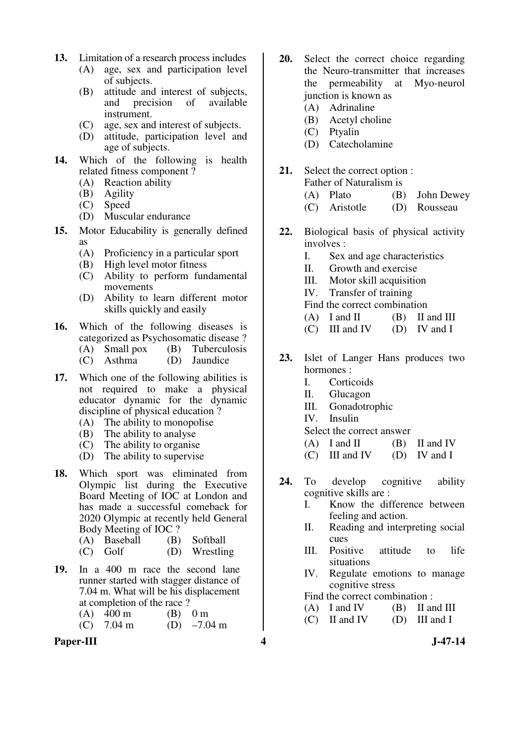- **13.** Limitation of a research process includes
	- (A) age, sex and participation level of subjects.
	- (B) attitude and interest of subjects,<br>and precision of available and precision of instrument.
	- (C) age, sex and interest of subjects.
	- (D) attitude, participation level and age of subjects.
- **14.** Which of the following is health related fitness component ?
	- (A) Reaction ability
	- (B) Agility
	- (C) Speed
	- (D) Muscular endurance
- **15.** Motor Educability is generally defined as
	- (A) Proficiency in a particular sport
	- (B) High level motor fitness
	- (C) Ability to perform fundamental movements
	- (D) Ability to learn different motor skills quickly and easily
- **16.** Which of the following diseases is categorized as Psychosomatic disease ?<br>
(A) Small pox (B) Tuberculosis
	- $(B)$  Tuberculosis
	- (C) Asthma (D) Jaundice
- 17. Which one of the following abilities is not required to make a physical educator dynamic for the dynamic discipline of physical education ?
	- (A) The ability to monopolise
	- (B) The ability to analyse
	- (C) The ability to organise
	- (D) The ability to supervise
- **18.** Which sport was eliminated from Olympic list during the Executive Board Meeting of IOC at London and has made a successful comeback for 2020 Olympic at recently held General Body Meeting of IOC ?
	- (A) Baseball (B) Softball
	- (C) Golf (D) Wrestling
- **19.** In a 400 m race the second lane runner started with stagger distance of 7.04 m. What will be his displacement at completion of the race ?
	- (A)  $400 \text{ m}$  (B)  $0 \text{ m}$ <br>(C)  $7.04 \text{ m}$  (D)  $-7.04 \text{ m}$  $(C)$  7.04 m
- Paper-III 3-47-14
- **20.** Select the correct choice regarding the Neuro-transmitter that increases the permeability at Myo-neurol junction is known as
	- (A) Adrinaline
	- (B) Acetyl choline
	- (C) Ptyalin
	- (D) Catecholamine
- **21.** Select the correct option :
	- Father of Naturalism is (A) Plato (B) John Dewey (C) Aristotle (D) Rousseau
- **22.** Biological basis of physical activity involves :
	- I. Sex and age characteristics
	- II. Growth and exercise
	- III. Motor skill acquisition
	- IV. Transfer of training
	- Find the correct combination
	- $(A)$  I and II  $(B)$  II and III
	- $(C)$  III and IV (D) IV and I
- **23.** Islet of Langer Hans produces two hormones :
	- I. Corticoids
	- II. Glucagon
	- III. Gonadotrophic
	- IV. Insulin
	- Select the correct answer
	- $(A)$  I and II  $(B)$  II and IV
	- $(C)$  III and IV (D) IV and I
- **24.** To develop cognitive ability cognitive skills are :
	- I. Know the difference between feeling and action.
	- II. Reading and interpreting social cues
	- III. Positive attitude to life situations
	- IV. Regulate emotions to manage cognitive stress
	- Find the correct combination :
	- $(A)$  I and IV  $(B)$  II and III
	- $(C)$  II and IV  $(D)$  III and I
		-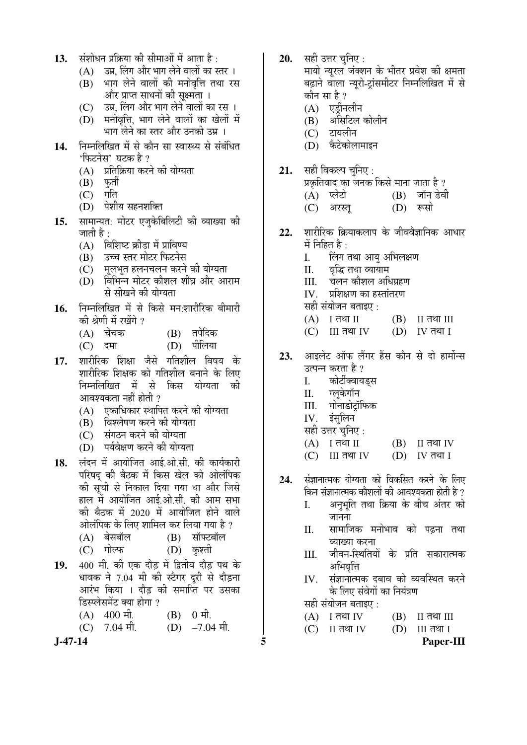- 13. ÄÖRÖPER AÖRÜ ED ALETRIA TIEST ATHETA
	- $(A)$   $\bar{B}$ अप्र, लिंग और भाग लेने वालों का स्तर ।
	- $(B)$  भाग लेने वालों की मनोवृत्ति तथा रस और प्राप्त साधनों की सक्ष्मता ।
	- (C) उम्र, लिंग और भाग लेने वालों का रस ।
	- (D) मनोवृत्ति, भाग लेने वालों का खेलों में भाग लेने का स्तर और उनकी उम्र ।
- 14. निम्नलिखित में से कौन सा स्वास्थ्य से संबंधित 'फिटनेस' घटक है ?
	- (A) प्रतिक्रिया करने की योग्यता<br>(B) फुर्ती
	- (B) फुती<br>*(C*) गति
	- $(C)$
	- (D) पेशीय सहनशक्ति
- 15. सामान्यत: मोटर एजकेबिलिटी की व्याख्या की जाती है  $\cdot$ 
	- $(A)$  विशिष्ट क्रीडा में प्राविण्य
	- $(B)$  उच्च स्तर मोटर फिटनेस
	- (C) गलभत हलनचलन करने की योग्यता
	- $(D)$  विभिन्न मोटर कौशल शीघ्र और आराम से सीखने की योग्यता
- 16. निम्नलिखित में से किसे मन:शारीरिक बीमारी की श्रेणी में रखेंगे ?
	- (A) "Öê"ÖÛú (B) ŸÖ¯ÖêפüÛú
	- (C) दमा (D) पीलिया
- 17. शारीरिक शिक्षा जैसे गतिशील विषय के शारीरिक शिक्षक को गतिशील बनाने के लिए निम्नलिखित में से किस योग्यता की आवश्यकता नहीं होती ?
	- $(A)$  एकाधिकार स्थापित करने की योग्यता
	- (B) विश्लेषण करने की योग्यता
	- (C) संगठन करने की योग्यता
	- (D) पर्यवेक्षण करने की योग्यता
- 18. लंदन में आयोजित आई.ओ.सी. की कार्यकारी परिषद की बैठक में किस खेल को ओलंपिक की सूची से निकाल दिया गया था और जिसे हाल में आयोजित आई.ओ.सी. की आम सभा की बैठक में 2020 में आयोजित होने वाले <u>ओलंपिक के लिए शामिल कर लिया गया है ?</u>
	- (A) बेसबॉल (B) सॉफ्टबॉल
	- (C) गोल्फ (D) कश्ती
- 19. 400 मी. की एक दौड़ में द्वितीय दौड़ पथ के धावक ने 7.04 मी की स्टैगर दरी से दौडना आरंभ किया । दौड़ की समाप्ति पर उसका डिस्प्लेसमेंट क्या होगा ?
	- $(A)$  400  $\hat{\Pi}$ . (B) 0  $\hat{\Pi}$ .
	- (C)  $7.04 \text{ H}$ . (D)  $-7.04 \text{ H}$ .

**20.** सही उत्तर चनिए :

मायो न्यूरल जंक्शन के भीतर प्रवेश की क्षमता बढ़ाने वाला न्यूरो-टांसमीटर निम्नलिखित में से कौन सा $\,$ है ?

- $(A)$  एडीनलीन
- $(B)$  असिटिल कोलीन
- $(C)$  टायलीन
- (D) केटेकोलामाइन
- 21. सही विकल्प चुनिए:
	- प्रकृतिवाद का जनक किसे माना जाता है ? (A) प्लेटो (B) जॉन डेवी
	- (C) अरस्त (D) रूसो
- 22. शारीरिक क्रियाकलाप के जीववैज्ञानिक आधार  $\overrightarrow{H}$  निहित है $\overrightarrow{F}$ 
	- I. लिंग तथा आयु अभिलक्षण
	- II. व्यक्षि तथा व्यायाम
	- III. चलन कौशल अधिग्रहण
	- IV. प्रशिक्षण का हस्तांतरण
	- सही संयोजन बताइए :
	- $(A)$  I तथा II  $(B)$  II तथा III
	- $(C)$  III तथा IV  $(D)$  IV तथा I

23. आइलेट ऑफ लैंगर हैंस कौन से दो हार्मोन्स उत्पन्न करता है ?

- I. कोर्टीक्वायड्स<br>II. ग्लकेगॉन
- ग्लुकेगॉन
- III. गोनाडोट्रॉफिक
- $IV.$  इंसलिन
- सही उत्तर चुनिए :
- $(A)$  I तथा II  $(B)$  II तथा IV
- $(C)$  III तथा IV  $(D)$  IV तथा I
- 24. संज्ञानात्मक योग्यता को विकसित करने के लिए किन संज्ञानात्मक कौशलों की आवश्यकता होती है ?
	- I. अनुभृति तथा क्रिया के बीच अंतर को जानना
	- II. सामाजिक मनोभाव को पढ़ना तथा व्याख्या करना
	- III. जीवन-स्थितियों के प्रति सकारात्मक अभिवत्ति
	- IV. संज्ञानात्मक दबाव को व्यवस्थित करने के लिए संवेगों का नियंत्रण
	- सही संयोजन बताइए :
	- $(A)$  I तथा IV  $(B)$  II तथा III
	- $(C)$  II तथा IV  $(D)$  III तथा I

**J-47-14 5 Paper-III**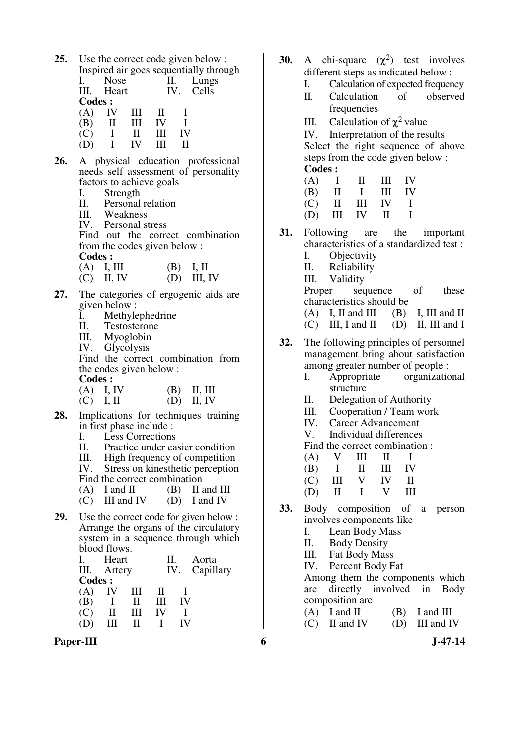**25.** Use the correct code given below : Inspired air goes sequentially through

|               |             |       |    |    | $\mu$ and $\mu$ and $\mu$ and $\mu$ and $\mu$ and $\mu$ |
|---------------|-------------|-------|----|----|---------------------------------------------------------|
|               | <b>Nose</b> |       |    | П. | Lungs                                                   |
|               | III. Heart  |       |    |    | IV. Cells                                               |
| <b>Codes:</b> |             |       |    |    |                                                         |
| (A)           | IV.         | - III | Ш  |    |                                                         |
| (B)           | П           | Ш     | IV |    |                                                         |
| (C)           |             | Н     | HН | IV |                                                         |
|               |             | IV-   | Ш  |    |                                                         |
|               |             |       |    |    |                                                         |

- **26.** A physical education professional needs self assessment of personality factors to achieve goals
	- I. Strength
	- II. Personal relation
	- III. Weakness
	- IV. Personal stress

 Find out the correct combination from the codes given below :

**Codes :** 

| $(A)$ I, III | $(B)$ I, II |               |
|--------------|-------------|---------------|
| $(C)$ II, IV |             | $(D)$ III, IV |

- **27.** The categories of ergogenic aids are given below :
	- I. Methylephedrine
	- II. Testosterone
	- III. Myoglobin<br>IV. Glycolysis
	- Glycolysis

 Find the correct combination from the codes given below :

**Codes :** 

| $(A)$ I, IV | $(B)$ II, III |
|-------------|---------------|
| $(C)$ I, II | $(D)$ II, IV  |

- **28.** Implications for techniques training in first phase include :
	- I. Less Corrections<br>II. Practice under ea
	- II. Practice under easier condition<br>III. High frequency of competition
	- III. High frequency of competition<br>IV. Stress on kinesthetic perception

Stress on kinesthetic perception

- Find the correct combination<br>(A) I and II (B) II a
- (B) II and III  $(D)$  I and IV  $(C)$  III and IV
- **29.** Use the correct code for given below : Arrange the organs of the circulatory system in a sequence through which blood flows.

| Ι. |               | Heart        |    | Н. | Aorta         |
|----|---------------|--------------|----|----|---------------|
|    | III. Artery   |              |    |    | IV. Capillary |
|    | <b>Codes:</b> |              |    |    |               |
|    | (A)           | IV.<br>Ш     | -H |    |               |
|    | (B)           | $\Pi$        | Ш  | IV |               |
|    | (C)           | Ш<br>H       | IV |    |               |
|    |               | Ш<br>$\prod$ |    |    |               |

Paper-III 6 **J**-47-14

- **30.** A chi-square  $(\chi^2)$  test involves different steps as indicated below :
	- I. Calculation of expected frequency
	- II. Calculation of observed frequencies
- III. Calculation of  $\chi^2$  value

 IV. Interpretation of the results Select the right sequence of above steps from the code given below : **Codes :** 

| (B) |  |                                                                                                                    |
|-----|--|--------------------------------------------------------------------------------------------------------------------|
|     |  |                                                                                                                    |
| (D) |  |                                                                                                                    |
|     |  | $(A)$ I II III IV<br>II I III IV<br>$(C)$ II III IV I<br>$\mathbf{H} \quad \mathbf{I} \mathbf{V} \quad \mathbf{H}$ |

**31.** Following are the important characteristics of a standardized test :

- I. Objectivity II. Reliability
- III. Validity

Proper sequence of these characteristics should be

- $(A)$  I, II and III (B) I, III and II
- $(C)$  III, I and II (D) II, III and I
- **32.** The following principles of personnel management bring about satisfaction among greater number of people :
	- I. Appropriate organizational structure
	- II. Delegation of Authority
	- III. Cooperation / Team work
	- IV. Career Advancement
	- V. Individual differences

Find the correct combination :

| (A) | $\mathbf{V}$ | Ш            | $\mathbf{H}$                              | $\blacksquare$ |
|-----|--------------|--------------|-------------------------------------------|----------------|
| (B) |              |              | $\mathbf{I}$ $\mathbf{II}$ $\mathbf{III}$ | - IV           |
| (C) | Ш            | $\mathbf{V}$ | IV I                                      | $\Box$         |
| (D) | $\mathbf{H}$ | $\mathbf{1}$ | $\mathbf{V}$                              | Ш              |

- **33.** Body composition of a person involves components like
	- I. Lean Body Mass
	- II. Body Density
	- III. Fat Body Mass
	- IV. Percent Body Fat

 Among them the components which are directly involved in Body composition are

 $(A)$  I and II  $(B)$  I and III  $(C)$  II and IV  $(D)$  III and IV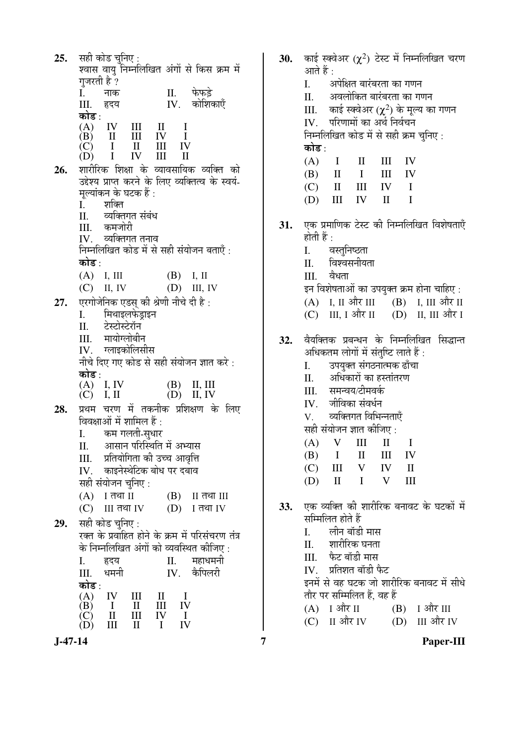$25.$ सही कोड चनिए : श्वास वायु निम्नलिखित अंगों से किस क्रम में गजरती है ? फेफडे  $\overline{L}$  $\Pi$ . नाक  $IV.$  कोशिकाएँ III. हृदय कोड  $\cdot$ IV  $III$  $\mathbf{I}$  $\mathbf I$  $(A)$  $(B)$  $\mathbf{H}$  $III$ IV  $\mathbf{I}$ IV  $(C)$  $\mathbf{I}$  $III$  $\mathbf{I}$ (D)  $\mathbf I$ IV  $III$  $\mathbf{I}$ शारीरिक शिक्षा के व्यावसायिक व्यक्ति को 26. उद्देश्य प्राप्त करने के लिए व्यक्तित्व के स्वयं-मल्यांकन के घटक हैं :  $\overline{I}$ . शक्ति व्यक्तिगत संबंध  $\Pi$ . कमजोरी III. व्यक्तिगत तनाव  $IV_{-}$ निम्नलिखित कोड में से सही संयोजन बताएँ : कोड⊹  $(A)$  I. III  $(B)$  I. II  $(D)$  III, IV  $(C)$  II, IV एरगोजेनिक एडस् की श्रेणी नीचे दी है :  $27.$ मिथाइलफेडाइन  $\overline{L}$ टेस्टोस्टेरॉन II. मायोग्लोबीन  $III$ ग्लाइकोलिसीस IV. नीचे दिए गए कोड से सही संयोजन ज्ञात करे: कोड : I. IV  $(A)$ (B) II. III  $(C)$  I, II  $(D)$  II. IV प्रथम चरण में तकनीक प्रशिक्षण के लिए 28. विवक्षाओं में शामिल हैं : कम गलती-सधार  $\mathbf{I}$ . आसान परिस्थिति में अभ्यास  $\Pi$ . प्रतियोगिता की उच्च आवृत्ति III. काइनेस्थेटिक बोध पर दबाव IV. सही संयोजन चनिए :  $(A)$  I तथा II  $(B)$  II तथा III  $(C)$  III तथा IV  $(D)$  I तथा IV सही कोड चनिए : 29. रक्त के प्रवाहित होने के क्रम में परिसंचरण तंत्र के निम्नलिखित अंगों को व्यवस्थित कीजिए: महाधमनी I. हृदय II. कैपिलरी धमनी IV. III. कोड : IV  $III$  $\mathbf{I}$  $\mathbf{I}$  $(A)$  $\overline{IV}$ **III**  $\overline{B}$  $\mathbf{I}$  $\mathbf{H}$  $\Pi$ IV  $\overline{C}$  $III$  $\mathbf{I}$  $\overline{N}$  $(D)$  $III$  $\mathbf{H}$  $\mathbf{I}$ 

काई स्क्वेअर ( $\chi^2$ ) टेस्ट में निम्नलिखित चरण 30. आते हैं :  $\mathbf{L}$ अपेक्षित बारंबरता का गणन अवलोकित बारंबरता का गणन  $\Pi$ . काई स्क्वेअर ( $\chi^2$ ) के मूल्य का गणन III. परिणामों का अर्थ निर्वचन  $IV$ निम्नलिखित कोड में से सही क्रम चुनिए : कोड : **IV**  $(A)$  $\mathbf{I}$  $\Pi$  $III$ (B)  $\mathbf{I}$  $\mathbf{I}$ IΙI IV  $(C)$  $\mathbf{I}$  $III$ **IV**  $\mathbf I$  $(D)$  $\overline{\mathbf{H}}$ **IV**  $\Pi$  $\mathbf{I}$ एक प्रमाणिक टेस्ट की निम्नलिखित विशेषताएँ 31. होती हैं : वस्तुनिष्ठता  $\mathbf{I}$ . विश्वसनीयता  $\Pi$ .  $III.$ वैधता इन विशेषताओं का उपयुक्त क्रम होना चाहिए :  $(A)$  I, II और III  $(B)$  I, III और II  $(C)$  III, I और II  $(D)$  II, III और I वैयक्तिक प्रबन्धन के निम्नलिखित सिद्धान्त 32. अधिकतम लोगों में संतुष्टि लाते हैं : उपयुक्त संगठनात्मक ढाँचा  $\mathbf{L}$ अधिकारों का हस्तांतरण  $\Pi$ . समन्वय/टीमवर्क III. जीविका संवर्धन  $IV$ व्यक्तिगत विभिन्नताएँ  $\mathbf V$ सही संयोजन ज्ञात कीजिए :  $\overline{\mathbf{V}}$  $III$  $(A)$  $\mathbf{I}$  $\mathbf I$ (B)  $\mathbf I$  $\mathbf{H}$  $III$ IV  $III$  $\overline{\mathsf{V}}$ IV  $\mathbf{I}$  $(C)$  $\Pi$  $\mathbf{I}$  $\overline{\mathbf{V}}$  $\overline{\mathbf{H}}$ (D) एक व्यक्ति की शारीरिक बनावट के घटकों में 33. सम्मिलित होते हैं  $\mathbf{L}$ लीन बॉडी मास शारीरिक घनता  $\Pi$ फैट बॉडी मास  $III$ प्रतिशत बॉडी फैट  $IV$ इनमें से वह घटक जो शारीरिक बनावट में सीधे तौर पर सम्मिलित हैं. वह हैं

 $(A)$  I और II  $(B)$  I और III  $(C)$ II और IV (D) III और IV

 $\overline{7}$ 

Paper-III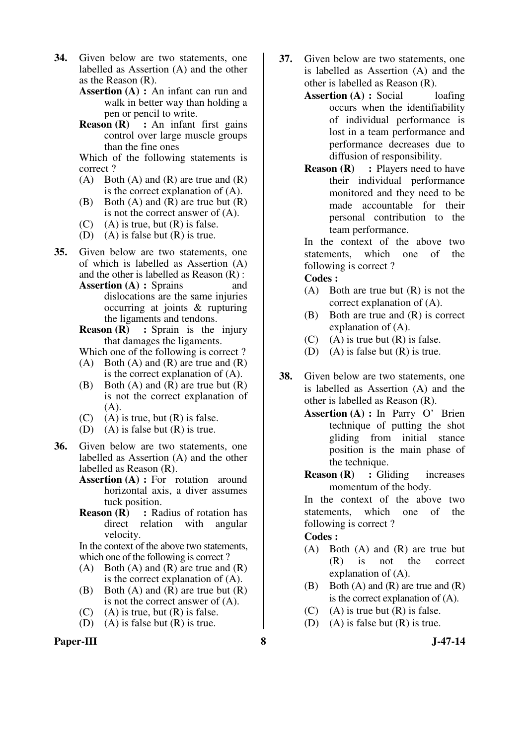- **34.** Given below are two statements, one labelled as Assertion (A) and the other as the Reason (R).
	- **Assertion (A) :** An infant can run and walk in better way than holding a pen or pencil to write.
	- **Reason (R)** : An infant first gains control over large muscle groups than the fine ones

Which of the following statements is correct ?

- $(A)$  Both  $(A)$  and  $(R)$  are true and  $(R)$ is the correct explanation of (A).
- (B) Both  $(A)$  and  $(R)$  are true but  $(R)$ is not the correct answer of (A).
- $(C)$  (A) is true, but  $(R)$  is false.
- (D) (A) is false but  $(R)$  is true.
- **35.** Given below are two statements, one of which is labelled as Assertion (A) and the other is labelled as Reason (R) :
	- **Assertion (A) :** Sprains and dislocations are the same injuries occurring at joints & rupturing the ligaments and tendons.
	- **Reason (R)** : Sprain is the injury that damages the ligaments.

Which one of the following is correct ?

- (A) Both (A) and (R) are true and  $(R)$ is the correct explanation of (A).
- (B) Both  $(A)$  and  $(R)$  are true but  $(R)$ is not the correct explanation of (A).
- $(C)$  (A) is true, but  $(R)$  is false.
- (D) (A) is false but  $(R)$  is true.
- **36.** Given below are two statements, one labelled as Assertion (A) and the other labelled as Reason (R).
	- **Assertion (A) :** For rotation around horizontal axis, a diver assumes tuck position.
	- **Reason (R)** : Radius of rotation has direct relation with angular velocity.

In the context of the above two statements, which one of the following is correct ?

- $(A)$  Both  $(A)$  and  $(R)$  are true and  $(R)$ is the correct explanation of (A).
- (B) Both  $(A)$  and  $(R)$  are true but  $(R)$ is not the correct answer of (A).
- $(C)$  (A) is true, but  $(R)$  is false.
- (D) (A) is false but  $(R)$  is true.

#### **Paper-III 8 J-47-14**

- **37.** Given below are two statements, one is labelled as Assertion (A) and the other is labelled as Reason (R).
	- **Assertion (A) : Social loafing** occurs when the identifiability of individual performance is lost in a team performance and performance decreases due to diffusion of responsibility.
	- **Reason (R)** : Players need to have their individual performance monitored and they need to be made accountable for their personal contribution to the team performance.

In the context of the above two statements, which one of the following is correct ?

#### **Codes :**

- (A) Both are true but (R) is not the correct explanation of (A).
- (B) Both are true and (R) is correct explanation of (A).
- (C) (A) is true but  $(R)$  is false.
- (D) (A) is false but  $(R)$  is true.
- **38.** Given below are two statements, one is labelled as Assertion (A) and the other is labelled as Reason (R).
	- **Assertion (A) :** In Parry O' Brien technique of putting the shot gliding from initial stance position is the main phase of the technique.
	- **Reason (R)** : Gliding increases momentum of the body.

In the context of the above two statements, which one of the following is correct ?

#### **Codes :**

- (A) Both (A) and (R) are true but (R) is not the correct explanation of (A).
- (B) Both (A) and (R) are true and  $(R)$ is the correct explanation of (A).
- (C) (A) is true but  $(R)$  is false.
- (D) (A) is false but  $(R)$  is true.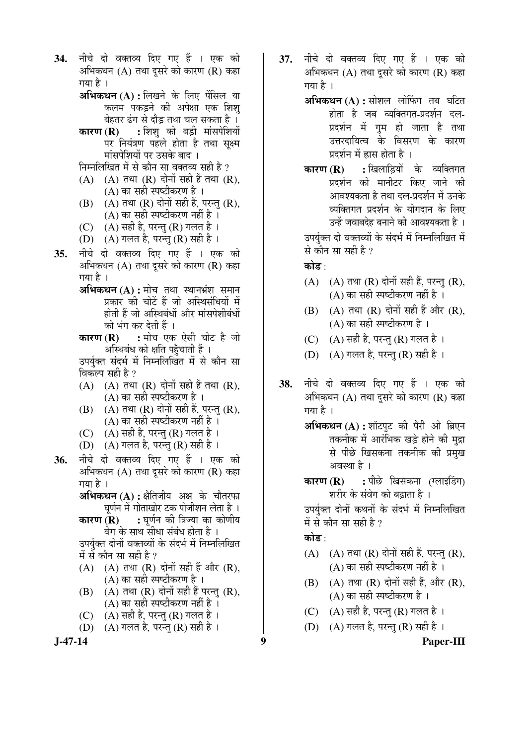नीचे दो वक्तव्य दिए गए हैं । एक को 34. अभिकथन (A) तथा दुसरे को कारण (R) कहा गया है । अभिकथन (A) : लिखने के लिए पेंसिल या

कलम पकड़ने की अपेक्षा एक शिश बेहतर ढंग से दौड़ तथा चल सकता है । : शिश़् को बड़ी मांसपेशियों कारण $(R)$ 

- पर नियंत्रण पहले होता है तथा सक्ष्म मांसपेशियों पर उसके बाद ।
- निम्नलिखित में से कौन सा वक्तव्य सही है ?
- $(A)$   $(A)$  तथा  $(R)$  दोनों सही हैं तथा  $(R)$ , (A) का सही स्पष्टीकरण है ।
- (B) (A) तथा (R) दोनों सही हैं, परन्तु (R), (A) का सही स्पष्टीकरण नहीं है ।
- (C)  $(A)$  सही है, परन्तु (R) गलत है ।
- (D) (A) गलत है, परन्तु (R) सही है ।
- नीचे दो वक्तव्य दिए गए हैं । एक को 35. अभिकथन (A) तथा दुसरे को कारण (R) कहा गया है ।
	- अभिकथन (A) : मोच तथा स्थानभ्रंश समान प्रकार की चोटें हैं जो अस्थिसंधियों में होती हैं जो अस्थिबंधों और मांसपेशीबंधों को भंग कर देती हैं ।
	- : मोच एक ऐसी चोट है जो कारण $(R)$ अस्थिबंध को क्षति पहुँचाती हैं ।

उपर्युक्त संदर्भ में निम्नलिखित में से कौन सा विकल्प सही है ?

- $(A)$   $(A)$  तथा  $(R)$  दोनों सही हैं तथा  $(R)$ , (A) का सही स्पष्टीकरण है ।
- (B) (A) तथा (R) दोनों सही हैं, परन्तु (R), (A) का सही स्पष्टीकरण नहीं है ।
- (C)  $(A)$  सही है, परन्तु (R) गलत है ।
- (D)  $(A)$  गलत है, परन्तु (R) सही है ।
- नीचे दो वक्तव्य दिए गए हैं । एक को 36. अभिकथन (A) तथा दसरे को कारण (R) कहा गया है ।
	- **अभिकथन (A) :** क्षैतिजीय अक्ष के चौतरफा घर्णन में गोताखोर टक पोजीशन लेता है ।
	- : घर्णन की त्रिज्या का कोणीय कारण $(R)$ वेग के साथ सीधा संबंध होता है ।

उपर्युक्त दोनों वक्तव्यों के संदर्भ में निम्नलिखित में से कौन सा सही है ?

- $(A)$   $(A)$  तथा  $(R)$  दोनों सही हैं और  $(R)$ , (A) का सही स्पष्टीकरण है ।
- (B) (A) तथा (R) दोनों सही हैं परन्तु (R),  $(A)$  का सही स्पष्टीकरण नहीं है।
- (A) सही है, परन्तु (R) गलत है ।  $(C)$
- (D) (A) गलत है. परन्त (R) सही है।

 $J-47-14$ 

- 37. नीचे दो वक्तव्य दिए गए हैं । एक को अभिकथन (A) तथा दसरे को कारण (R) कहा गया है ।
	- **अभिकथन (A) :** सोशल लोफिंग तब घटित होता है जब व्यक्तिगत-प्रदर्शन दल-प्रदर्शन में गुम हो जाता है तथा उत्तरदायित्व के विसरण के कारण प्रदर्शन में ह्रास होता है।
	- : खिलाडियों के व्यक्तिगत कारण $(R)$ प्रदर्शन को मानीटर किए जाने की आवश्यकता है तथा दल-प्रदर्शन में उनके व्यक्तिगत प्रदर्शन के योगदान के लिए उन्हें जवाबदेह बनाने की आवश्यकता है ।

उपर्युक्त दो वक्तव्यों के संदर्भ में निम्नलिखित में से कौन सा सही है ?

### कोड⊹

- (A) (A) तथा (R) दोनों सही हैं, परन्तु (R),  $(A)$  का सही स्पष्टीकरण नहीं है।
- (B) (A) तथा (R) दोनों सही हैं और (R), (A) का सही स्पष्टीकरण है ।
- (C)  $(A)$  सही है, परन्तु (R) गलत है ।
- (D) (A) गलत है, परन्तु (R) सही है।
- नीचे दो वक्तव्य दिए गए हैं । एक को 38. अभिकथन  $(A)$  तथा दूसरे को कारण  $(R)$  कहा गया है ।
	- अभिकथन (A) : शॉटपुट की पैरी ओ ब्रिएन तकनीक में आरंभिक खड़े होने की मद्रा से पीछे खिसकना तकनीक की प्रमुख अवस्था है ।
	- : पीछे खिसकना (ग्लाइडिंग) कारण $(R)$ शरीर के संवेग को बढाता है ।

उपर्युक्त दोनों कथनों के संदर्भ में निम्नलिखित में से कौन सा सही है ?

## कोड :

9

- (A)  $(A)$  तथा (R) दोनों सही हैं, परन्तु (R), (A) का सही स्पष्टीकरण नहीं है ।
- (B) (A) तथा (R) दोनों सही हैं, और (R), (A) का सही स्पष्टीकरण है ।
- (C)  $(A)$  सही है, परन्तु (R) गलत है ।
- (D) (A) गलत है, परन्तु (R) सही है ।

Paper-III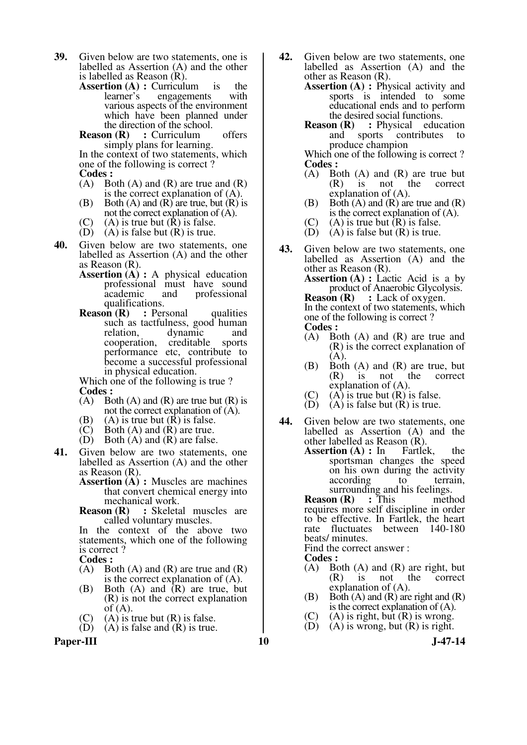- **39.** Given below are two statements, one is labelled as Assertion (A) and the other is labelled as Reason (R).
	- **Assertion (A) :** Curriculum is the learner's engagements with engagements with various aspects of the environment which have been planned under the direction of the school.
	- **Reason (R)** : Curriculum offers simply plans for learning.

In the context of two statements, which one of the following is correct ? **Codes :** 

- (A) Both (A) and (R) are true and  $(R)$ is the correct explanation of (A).
- (B) Both (A) and (R) are true, but  $(R)$  is not the correct explanation of (A).
- (C) (A) is true but  $(R)$  is false.<br>(D) (A) is false but  $(R)$  is true.
- $(A)$  is false but  $(R)$  is true.
- **40.** Given below are two statements, one labelled as Assertion (A) and the other as Reason (R).
	- **Assertion (A) :** A physical education professional must have sound academic and professional qualifications.<br>**on**  $(R)$  : Personal
	- **Reason (R)** : Personal qualities such as tactfulness, good human<br>relation. dynamic and dynamic and<br>creditable sports cooperation, performance etc, contribute to become a successful professional in physical education.

Which one of the following is true ?

- **Codes :**<br>
(A) Bo Both  $(A)$  and  $(R)$  are true but  $(R)$  is not the correct explanation of (A).
- (B) (A) is true but  $(R)$  is false.<br>(C) Both  $(A)$  and  $(R)$  are true.
- Both  $(A)$  and  $(R)$  are true.
- $(D)$  Both  $(A)$  and  $(R)$  are false.
- **41.** Given below are two statements, one labelled as Assertion (A) and the other as Reason (R).
	- **Assertion (A) : Muscles are machines** that convert chemical energy into mechanical work.<br>Reason (R) : Skeleta
	- **:** Skeletal muscles are called voluntary muscles.

In the context of the above two statements, which one of the following is correct ?

**Codes :** 

- $(A)$  Both  $(A)$  and  $(R)$  are true and  $(R)$ is the correct explanation of (A).
- (B) Both (A) and (R) are true, but (R) is not the correct explanation of  $(A)$ .
- (C) (A) is true but (R) is false.<br>(D) (A) is false and (R) is true.
- $(A)$  is false and  $(R)$  is true.

Paper-III **10** J-47-14

- **42.** Given below are two statements, one labelled as Assertion (A) and the other as Reason (R).
	- **Assertion (A) : Physical activity and** sports is intended to some educational ends and to perform the desired social functions.
	- **Reason (R)** : Physical education and sports contributes to produce champion

Which one of the following is correct ? **Codes :**<br>
(A) Bo

- Both  $(A)$  and  $(R)$  are true but (R) is not the correct explanation of (A).
- (B) Both  $(A)$  and  $(R)$  are true and  $(R)$ is the correct explanation of (A).
- $(C)$  (A) is true but  $(R)$  is false.
- $(D)$   $(A)$  is false but  $(R)$  is true.
- **43.** Given below are two statements, one labelled as Assertion (A) and the other as Reason (R).

**Assertion (A) :** Lactic Acid is a by product of Anaerobic Glycolysis.<br> **Reason (R)** : Lack of oxygen. **:** Lack of oxygen.

 In the context of two statements, which one of the following is correct ? **Codes :** 

- (A) Both (A) and (R) are true and (R) is the correct explanation of (A).
- (B) Both (A) and (R) are true, but<br>(R) is not the correct not the explanation of (A).
- (C) (A) is true but  $(R)$  is false.<br>(D) (A) is false but  $(R)$  is true.
- $(A)$  is false but  $(R)$  is true.
- **44.** Given below are two statements, one labelled as Assertion (A) and the other labelled as Reason (R).
	- **Assertion (A) :** In Fartlek, the sportsman changes the speed on his own during the activity according to terrain,

surrounding and his feelings.<br> **on**  $(\mathbf{R})$  : This method **Reason** (**R**) requires more self discipline in order to be effective. In Fartlek, the heart rate fluctuates between 140-180 beats/ minutes.

Find the correct answer :

**Codes :** 

- (A) Both (A) and (R) are right, but<br>(R) is not the correct (R) is not the correct explanation of (A).
- (B) Both  $(A)$  and  $(R)$  are right and  $(R)$ is the correct explanation of (A).
- (C) (A) is right, but (R) is wrong.<br>(D) (A) is wrong, but (R) is right.
- $(A)$  is wrong, but  $(R)$  is right.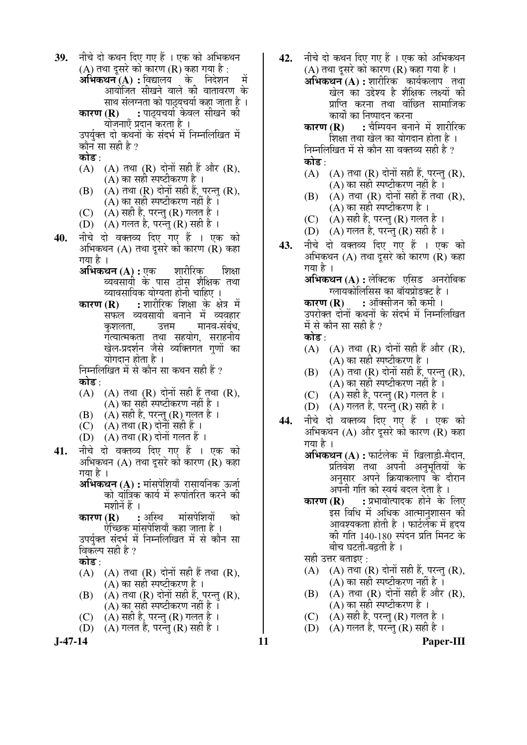**J-47-14 11 Paper-III** 39. **जीचे दो कथन दिए गए हैं** । एक को अभिकथन (A) तथा दूसरे को कारण (R) कहा गया है :<br>**अभिकथन (A) :** विद्यालय के निदेशन  $\mathbf{a}$ भिकथन  $(\mathbf{A})$  : विद्यालय  $\stackrel{\frown}{\phantom{\frown}}\mathbf{b}$ आयोजित सीखने वाले की वातावरण के साथ संलग्नता को पाट्यचर्या कहा जाता है ।<br>**कारण (R) :** पाठयचर्या केवल सीखने की **:** पाठ्यचर्या केवल सीखने को योजनाएँ प्रदान करता है । उपर्यक्त दो कथनों के संदर्भ में निम्नलिखित में कौन सा सही है ? कोड :  $(A)$   $(A)$  तथा  $(R)$  दोनों सही हैं और  $(R)$ ,  $(A)$  का सही स्पष्टीकरण है ।  $(B)$   $(A)$  तथा  $(R)$  दोनों सही हैं, परन्तु  $(R)$ ,  $(A)$  का सही स्पष्टीकरण नहीं है ।  $(C)$   $(A)$  सही है, परन्तु (R) गलत है। (D)  $(A)$  गलत है, परन्तु (R) सही है । 40. **नीचे दो वक्तव्य दिए गए हैं । एक को** अभिकथन (A) तथा दसरे को कारण (R) कहा गया है । **अभिकथन (A) :** एक शारीरिक शिक्षा व्यवसायी के पास ठोस शैक्षिक तथा थावसायिक योग्यता होनी चाहिए ।<br>कारण (R) : शारीरिक शिक्षा के क्षे **:** शारीरिक शिक्षा के क्षेत्र में सफल व्यवसायी बनाने में व्यवहार<br>कशलता. उत्तम मानव-संबंध. <u>मानव-संबंध</u> गत्यात्मकता तथा सहयोग, सराहनीय खेल-प्रदर्शन जैसे व्यक्तिगत गणों का योगदान होता है । निम्नलिखित में से कौन सा कथन सही हैं ? कोड :  $(A)$   $(A)$  तथा  $(R)$  दोनों सही हैं तथा  $(R)$ ,  $(A)$  का सही स्पष्टीकरण नहीं है। (B)  $(A)$  सही है, परन्तु (R) गलत है ।  $(C)$   $(A)$  तथा  $(R)$  दोनों सही हैं । (D)  $(A)$  तथा  $(R)$  दोनों गलत हैं । 41. नीचे दो वक्तव्य दिए गए हैं । एक को अभिकथन  $(A)$  तथा दसरे को कारण  $(R)$  कहा गया है । **अभिकथन (A) :** मांसपेशियाँ रासायनिक ऊर्जा को यांत्रिक कार्य में रूपांतरित करने की ॅमशीनें हैं ।<br>**कारण (R) ः** अस्थि ॅमांसपेशियों को ऐच्छिक मांसपेशियाँ कहा जाता है । उपर्युक्त संदर्भ में निम्नलिखित में से कौन सा विकल्प सही है ? कोड :  $(A)$   $(A)$   $\overline{d}$  $\overline{d}$   $\overline{R}$   $\overline{d}$   $\overline{d}$   $\overline{d}$  $\overline{d}$  $\overline{f}$  $\overline{f}$  $\overline{f}$  $\overline{f}$  $\overline{f}$  $\overline{f}$  $\overline{f}$  $\overline{f}$  $\overline{f}$  $\overline{f}$  $\overline{f}$  $\overline{f}$  $\overline{f}$  $\overline{f}$  $\overline{f}$  $\overline{f}$  $\overline{f}$  $\overline{f}$  $\overline{f}$ (A) का सही स्पष्टीकरण है ।  $(B)$   $(A)$  तथा  $(R)$  दोनों सही हैं, परन्तु  $(R)$ , (A) का सही स्पष्टीकरण नहीं है)। (C) ) (A) सही है, परन्तु (R) गलत है ।<br>(D) ) (A) गलत है, परन्त (R) सही है । (A) गलत है, परन्त (R) सही है ।

42. नीचे दो कथन दिए गए हैं । एक को अभिकथन (A) तथा दुसरे को कारण (R) कहा गया है)। **अभिकथन (A) :** शारीरिक कार्यकलाप तथा खेल का उद्देश्य है शैक्षिक लक्ष्यों की प्राप्ति करना तथा वांछित सामाजिक कारण (R) कार्यों का निष्पादन करना<br>कारण (R) : चैम्पियन बना **:** चैम्पियन बनाने में शारीरिक शिक्षा तथा खेल का योगदान होता है ।

निम्नलिखित में से कौन सा वक्तव्य सही है ? क्रोड़ :

- $(A)$   $(A)$  तथा  $(R)$  दोनों सही हैं, परन्तु  $(R)$ , (A) का सही स्पष्टीकरण नहीं है $\overline{a}$
- $(B)$   $(A)$  तथा  $(R)$  दोनों सही हैं तथा  $(R)$ . (A) का सही स्पष्टीकरण है $\perp$
- (C)  $(A)$  सही है, परन्तु (R) गलत है।
- (D)  $(A)$  गलत है, परन्त $(R)$  सही है ।
- 43. नीचे दो वक्तव्य दिए गए हैं । एक को अभिकथन  $(A)$  तथा दसरे को कारण  $(R)$  कहा गया है $\perp$

**अभिकथन (A) :** लेक्टिक एसिड अनरोबिक ग्लायकोलिसिस का बॉयप्रोडक्ट है ।

**कारण (R) :** ऑक्सीजन की कमी । उपरोक्त दोनों कथनों के संदर्भ में निम्नलिखित में से कौन सा सही है ? कोड ·

- $(A)$   $(A)$  तथा  $(R)$  दोनों सही हैं और  $(R)$ , (A) का सही स्पष्टीकरण है $\,$  ।
- $(B)$   $(A)$  तथा  $(R)$  दोनों सही हैं, परन्तु  $(R)$ , (A) का सही स्पष्टीकरण नहीं है ।
- (C)  $(A)$  सही है, परन्तु (R) गलत है ।
- (D)  $(A)$  गलत है, परन्त $(R)$  सही है।
- **44.** नीचे दो वक्तव्य दिए गए हैं । एक को अभिकथन  $(A)$  और दसरे को कारण  $(R)$  कहा गया है ।
	- **अभिकथन (A) :** फार्टलेक में खिलाड़ी-मैदान, प्रतिवेश तथा अपनी अनुभूतियों के अनुसार अपने क्रियाकलाप के दौरान † अपनी गति को स्वयं बदल देता है<br>† कारण (R) : प्रभावोत्पादक होने के
	- **:** प्रभावोत्पादक होने के लिए इस विधि में अधिक आत्मानुशासन की आवश्यकता होती है । फार्टलेक में हृदय की गति 140-180 स्पंदन प्रति मिनट के बीच घटती-बढती है ।

सही उत्तर बताइए $\,$  :

- (A)  $(A)$  तथा (R) दोनों सही हैं, परन्त (R), (A) का सही स्पष्टीकरण नहीं है $\,$  ।
- $(B)$   $(A)$  तथा  $(R)$  दोनों सही हैं और  $(R)$ , (A) का सही स्पष्टीकरण है $\perp$
- (C)  $(A)$  सही है, परन्तु (R) गलत है ।
- $(D)$   $(A)$  गलत है, परन्त $(R)$  सही है।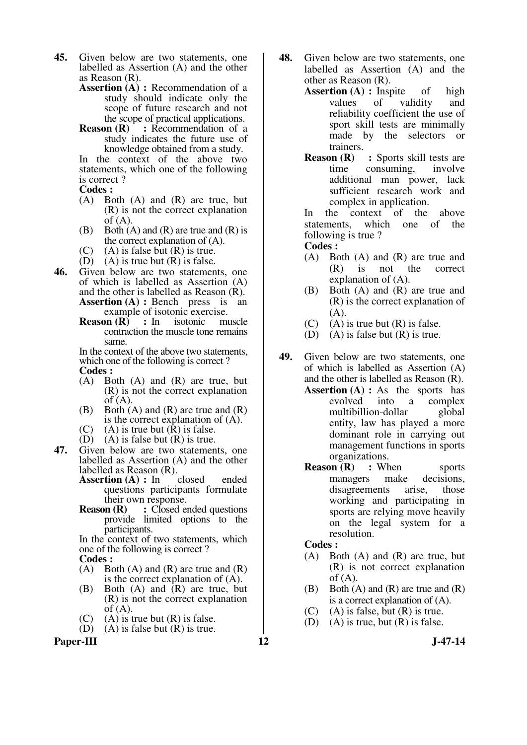- **45.** Given below are two statements, one labelled as Assertion (A) and the other as Reason (R).
	- **Assertion (A) : Recommendation of a** study should indicate only the scope of future research and not the scope of practical applications.
	- **Reason (R)** : Recommendation of a study indicates the future use of knowledge obtained from a study. In the context of the above two

statements, which one of the following is correct ?

- **Codes :**
- (A) Both (A) and (R) are true, but (R) is not the correct explanation of  $(A)$ .
- $(B)$  Both  $(A)$  and  $(R)$  are true and  $(R)$  is the correct explanation of (A).
- $(C)$  (A) is false but  $(R)$  is true.
- 
- (D) (A) is true but  $(R)$  is false.<br>**46.** Given below are two statement **46.** Given below are two statements, one of which is labelled as Assertion (A) and the other is labelled as Reason (R). **Assertion (A) : Bench** press is an example of isotonic exercise.
	- **Reason (R)** : In isotonic muscle contraction the muscle tone remains same.

 In the context of the above two statements, which one of the following is correct ? **Codes :** 

- (A) Both (A) and (R) are true, but (R) is not the correct explanation of  $(A)$ .
- (B) Both (A) and (R) are true and (R) is the correct explanation of (A).
- (C) (A) is true but  $(R)$  is false.
- $(D)$   $(A)$  is false but  $(R)$  is true.
- **47.** Given below are two statements, one labelled as Assertion (A) and the other labelled as Reason  $(R)$ .<br>Assertion  $(A)$ : In closed
	- Assertion (A) : In closed ended questions participants formulate their own response.<br>Reason (R) : Closed et
	- **:** Closed ended questions provide limited options to the participants.

 In the context of two statements, which one of the following is correct ? **Codes :** 

- 
- $(A)$  Both  $(A)$  and  $(R)$  are true and  $(R)$ is the correct explanation of (A).
- (B) Both (A) and (R) are true, but (R) is not the correct explanation of  $(A)$ .
- (C) (A) is true but (R) is false.<br>(D) (A) is false but (R) is true.
- $(A)$  is false but  $(R)$  is true.

Paper-III **12** J-47-14

- **48.** Given below are two statements, one labelled as Assertion (A) and the other as Reason (R).
	- Assertion (A) : Inspite of high values of validity and reliability coefficient the use of sport skill tests are minimally made by the selectors or trainers.
	- **Reason (R)** : Sports skill tests are time consuming, involve additional man power, lack sufficient research work and complex in application.

 In the context of the above statements, which one of the following is true ?

**Codes :** 

- (A) Both (A) and (R) are true and (R) is not the correct explanation of (A).
- (B) Both (A) and (R) are true and (R) is the correct explanation of  $(A)$ .
- (C) (A) is true but  $(R)$  is false.
- (D) (A) is false but  $(R)$  is true.
- **49.** Given below are two statements, one of which is labelled as Assertion (A) and the other is labelled as Reason (R).
	- **Assertion (A) :** As the sports has evolved into a complex multibillion-dollar global entity, law has played a more dominant role in carrying out management functions in sports organizations.
	- **Reason (R)** : When sports<br>managers make decisions. managers make disagreements arise, those working and participating in sports are relying move heavily on the legal system for a resolution.

#### **Codes :**

- (A) Both (A) and (R) are true, but (R) is not correct explanation of  $(A)$ .
- (B) Both  $(A)$  and  $(R)$  are true and  $(R)$ is a correct explanation of (A).
- $(C)$  (A) is false, but  $(R)$  is true.
- (D) (A) is true, but  $(R)$  is false.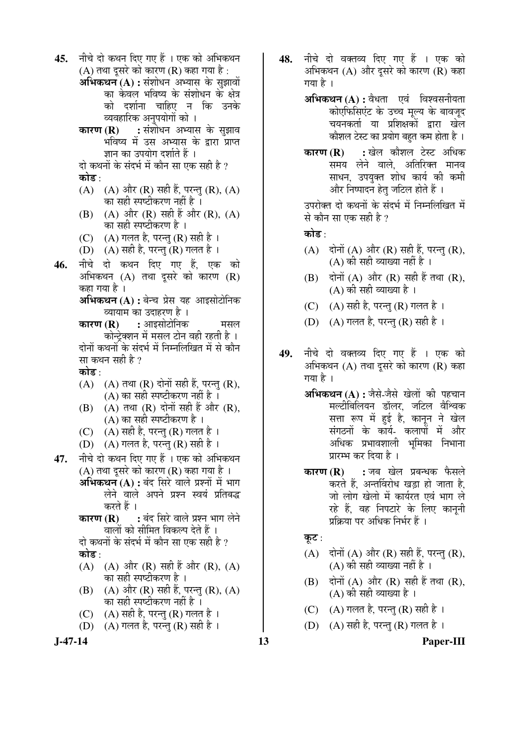45. नीचे दो कथन दिए गए हैं । एक को अभिकथन (A) तथा दुसरे को कारण (R) कहा गया है :

**अभिकथन (A) :** संशोधन अभ्यास के सुझावों का केवल भविष्य के संशोधन के क्षेत्र को दर्शाना चाहिए न कि उनके व्यवहारिक अनुपयोगों को ।<br>**कारण (R) :** संशोधन अभ्यार

**:** संशोधन अभ्यास के सुझाव भविष्य में उस अभ्यास के द्वारा प्राप्त ज्ञान का उपयोग दर्शाते हैं ।

दो कथनों के संदर्भ में कौन सा एक सही है ? कोड :

- (A)  $(A)$  और  $(R)$  सही हैं, परन्तु  $(R)$ ,  $(A)$ का सही स्पष्टीकरण नहीं है ।
- (B) (A) और  $(R)$  सही हैं और  $(R)$ ,  $(A)$ का सही स्पष्टीकरण है ।
- (C)  $(A)$  गलत है, परन्तु (R) सही है ।
- (D)  $(A)$  सही है, परन्तु (R) गलत है ।
- **46.** नीचे दो कथन दिए गए हैं. एक को आभिकथन  $(A)$  तथा दुसरे को कारण  $(R)$ कहा गया है ।

**अभिकथन (A) :** बेन्च प्रेस यह आइसोटोनिक व्यायाम का उदाहरण है ।

- ÛúÖ¸üÞÖ **(R) :** †Ö‡ÃÖÖê™üÖê×®ÖÛú ´ÖÃÖ»Ö ँकोन्टेक्शन में मसल टोन वही रहती है । दोनों कथनों के संदर्भ में निम्नलिखित में से कौन सा कथन सही है ?
- कोड :
- $(A)$   $(A)$  तथा  $(R)$  दोनों सही हैं, परन्त  $(R)$ , (A) का सही स्पष्टीकरण नहीं है $\overline{\phantom{a}}$ ।
- $(B)$   $(A)$  तथा  $(R)$  दोनों सही हैं और  $(R)$ , (A) का सही स्पष्टीकरण है $\,$  ।
- (C)  $(A)$  सही है, परन्तु (R) गलत है ।
- (D)  $(A)$  गलत है, परन्तु (R) सही है ।
- 47. **मीचे दो कथन दिए गए हैं** । एक को अभिकथन (A) तथा दसरे को कारण (R) कहा गया है ।
	- **अभिकथन (A) :** बंद सिरे वाले प्रश्नों में भाग लेने वाले अपने प्रश्न स्वयं प्रतिबद्ध करते हैं ।
	- **कारण (R) :** बंद सिरे वाले प्रश्न भाग लेने <u>वालों को सीमित विकल्प देते हैं ।</u>

दो कथनों के संदर्भ में कौन सा एक सही है ? कोड़ :

- (A) (A) और (R) सही हैं और (R), (A) ेका सही स्पष्टीकरण है ।
- (B)  $(A)$  और  $(R)$  सही हैं, परन्त  $(R)$ ,  $(A)$ का सही स्पष्टीकरण नहीं है ।
- (C)  $(A)$  सही है, परन्तु (R) गलत है।
- (D)  $(A)$  गलत है, परन्तु (R) सही है ।



48. नीचे दो वक्तव्य दिए गए हैं । एक को अभिकथन  $(A)$  और दुसरे को कारण  $(R)$  कहा गया है ।

> **अभिकथन (A) :** वैधता एवं विश्वसनीयता कोएफिसिएंट के उच्च मूल्य के बावजूद चयनकर्ता या प्रशिक्षकों द्वारा खेल ँकोशल टेस्ट का प्रयोग बहुत कम होता है ।

> **कारण (R) :** खेल कौशल टेस्ट अधिक समय लेने वाले. अतिरिक्त मानव साधन, उपयुक्त शोध कार्य की कमी और निष्पादन हेत जटिल होते हैं ।

> उपरोक्त दो कथनों के संदर्भ में निम्नलिखित में से कौन सा एक सही है ?

कोड $\cdot$ 

- (A)  $\vec{r}$ दोनों (A) और (R) सही हैं, परन्तु (R),  $(A)$  की सही व्याख्या नहीं है ।
- $(B)$  दोनों  $(A)$  और  $(R)$  सही हैं तथा  $(R)$ .  $(A)$  की सही व्याख्या है।
- (C)  $(A)$  सही है, परन्तु (R) गलत है।
- (D)  $(A)$  गलत है, परन्तु (R) सही है ।
- 49. नीचे दो वक्तव्य दिए गए हैं । एक को अभिकथन  $(A)$  तथा दसरे को कारण  $(R)$  कहा गया है ।
	- **अभिकथन (A) :** जैसे-जैसे खेलों की पहचान मल्टीबिलियन डॉलर, जटिल वैश्विक सत्ता रूप में हुई है, कानून ने खेल संगठनों के कार्य- कलापों में और अधिक प्रभावशाली भमिका निभाना प्रारम्भ कर दिया है ।
	- **कारण (R) :** जब खेल प्रबन्धक फैसले करते हैं, अन्तर्विरोध खड़ा हो जाता है, जो लोग खेलो में कार्यरत एवं भाग ले रहे हैं, वह निपटारे के लिए कानूनी प्रक्रिया पर अधिक निर्भर हैं ।

कूट :

- (A)  $\vec{r}$ दोनों (A) और (R) सही हैं, परन्त (R),  $(A)$  की सही व्याख्या नहीं है ।
- $(B)$  दोनों  $(A)$  और  $(R)$  सही हैं तथा  $(R)$ , (A) की सही व्याख्या है ।
- (C)  $(A)$  गलत है, परन्तु (R) सही है।
- (D)  $(A)$  सही है, परन्त $(R)$  गलत है।

**J-47-14 13 Paper-III**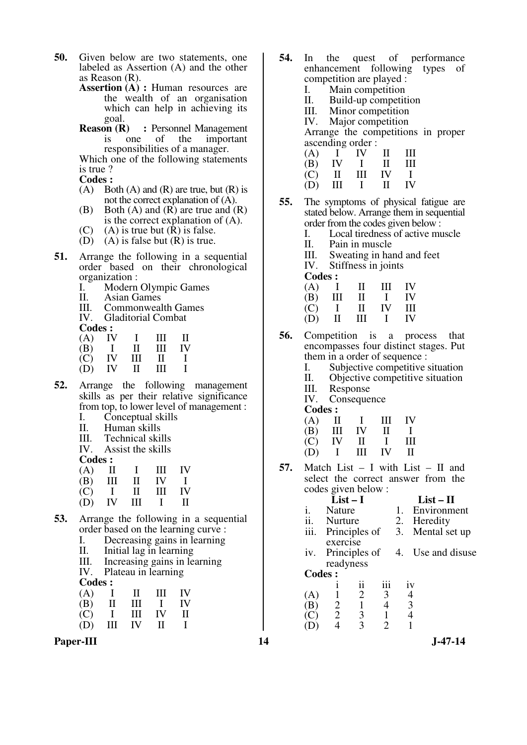- **50.** Given below are two statements, one labeled as Assertion (A) and the other as Reason (R).
	- **Assertion (A) : Human resources are** the wealth of an organisation which can help in achieving its goal.<br>**Reason** (**R**)
	- **:** Personnel Management is one of the important responsibilities of a manager.

 Which one of the following statements is true ?

- **Codes :**
- (A) Both (A) and (R) are true, but (R) is not the correct explanation of (A).
- (B) Both  $(A)$  and  $(R)$  are true and  $(R)$ is the correct explanation of (A).
- (C) (A) is true but  $(R)$  is false.
- (D) (A) is false but  $(R)$  is true.
- **51.** Arrange the following in a sequential order based on their chronological organization :
	- I. Modern Olympic Games<br>II. Asian Games
	- II. Asian Games
	- III. Commonwealth Games<br>IV. Gladitorial Combat
	- Gladitorial Combat

**Codes :**<br>(A) **IV** 

- (A) IV I III II<br>(B) I II III IV
- (B) I II III IV
	- $(C)$  IV III II I<br>  $(D)$  IV II III I  $(D)$
- **52.** Arrange the following management skills as per their relative significance from top, to lower level of management :
	- I. Conceptual skills<br>II. Human skills
	- Human skills
	- III. Technical skills<br>IV. Assist the skills
	- Assist the skills

**Codes :**<br>(A) **II** 

- (A) II I III IV
	- $(B)$  III II IV I<br>  $(C)$  I II III IV
- (C) I II III IV
	- (D) IV III I II
- **53.** Arrange the following in a sequential order based on the learning curve :<br>
L. Decreasing gains in learning
	- I. Decreasing gains in learning<br>II. Initial lag in learning
	- II. Initial lag in learning<br>III. Increasing gains in le
	- III. Increasing gains in learning<br>IV. Plateau in learning
	- Plateau in learning

Codes .

| Coucs. |   |           |    |     |
|--------|---|-----------|----|-----|
| (A)    |   | TI.       | Ш  | IV  |
| (B)    | Н | Ш         |    | IV  |
| (C)    |   | Ш         | IV | TI. |
| (D)    | Ш | <b>IV</b> | Н  |     |

Paper-III **14** J-47-14

- **54.** In the quest of performance enhancement following types of competition are played :
	- I. Main competition<br>II. Build-up competit
	- II. Build-up competition<br>III. Minor competition
	- III. Minor competition<br>IV. Maior competition
	- Major competition

 Arrange the competitions in proper ascending order :

|     | $(A)$ I    | IV.            | $\mathbf{H}$ | Ш  |
|-----|------------|----------------|--------------|----|
| (B) | IV I       |                | $\mathbf{H}$ | Ш  |
| (C) | $\cdot$ II | $\mathbf{III}$ | IV I         |    |
| (D) | Ш          | $\mathbf{I}$   | $\mathbf{u}$ | IV |

- **55.** The symptoms of physical fatigue are stated below. Arrange them in sequential order from the codes given below :
	- I. Local tiredness of active muscle
	- II. Pain in muscle
	- III. Sweating in hand and feet<br>IV. Stiffness in joints
	- Stiffness in joints
	- **Codes :**

| (A) | $\mathbf{I}$ | $\mathbf{u}$ | Ш            | <b>IV</b> |
|-----|--------------|--------------|--------------|-----------|
| (B) | Ш            | $\mathbf{I}$ | $\mathbf{I}$ | IV        |
| (C) | $\mathbf{I}$ | -II          | <b>IV</b>    | Ш         |
| (D) | $\Pi$        | Ш            | $\mathbf{1}$ | IV        |

**56.** Competition is a process that encompasses four distinct stages. Put them in a order of sequence :

- I. Subjective competitive situation<br>II. Objective competitive situation
- II. Objective competitive situation<br>III. Response
- III. Response<br>IV. Conseque
- Consequence
- **Codes :**

| (A) | $\mathbf{H}$   | $\mathbf{1}$ | Ш                       | IV           |
|-----|----------------|--------------|-------------------------|--------------|
| (B) | $\mathbf{III}$ | IV           | $\Box$                  | $\mathbf{I}$ |
| (C) | IV             | $\mathbf{I}$ | $\blacksquare$          | Ш            |
| (D) | $\mathbf{I}$   | Ш            | $\mathbf{I} \mathbf{V}$ | H            |

**57.** Match List – I with List – II and select the correct answer from the codes given below :

|      | $\omega$ ucs given $\omega$ iow. |                  |
|------|----------------------------------|------------------|
|      | $List-I$                         | $List-II$        |
|      | i. Nature                        | 1. Environment   |
|      | ii. Nurture                      | 2. Heredity      |
| iii. | Principles of                    | 3. Mental set up |
|      | exercise                         |                  |

- iv. Principles of readyness 4. Use and disuse
- **Codes :**

|     |   | 11 | 111 | İV |
|-----|---|----|-----|----|
| (A) |   | 2  | 3   |    |
| (B) | 2 |    | 4   |    |
| (C) | 2 | 3  |     |    |
| (D) |   | 2  | າ   |    |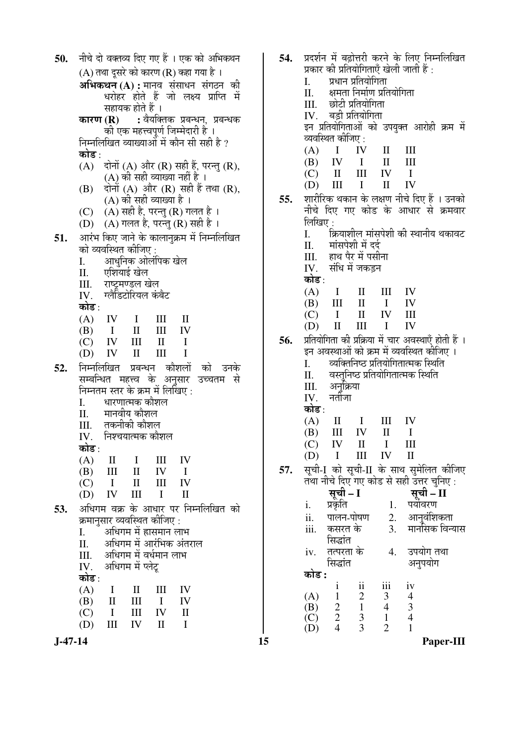| 50. |            |                                         |                   |                         | नीचे दो वक्तव्य दिए गए हैं । एक को अभिकथन                                               |
|-----|------------|-----------------------------------------|-------------------|-------------------------|-----------------------------------------------------------------------------------------|
|     |            |                                         |                   |                         | $(A)$ तथा दूसरे को कारण $(R)$ कहा गया है ।                                              |
|     |            |                                         |                   |                         |                                                                                         |
|     |            |                                         |                   |                         | <mark>अभिकथन (A) :</mark> मानव संसाधन संगठन की<br>धरोहर होते हैं जो लक्ष्य प्राप्ति में |
|     |            |                                         | सहायक होते हैं ।  |                         |                                                                                         |
|     |            |                                         |                   |                         | <b>कारण (R) :</b> वैयक्तिक प्रबन्धन, प्रबन्धक                                           |
|     |            |                                         |                   |                         | की एक महत्त्वपूर्ण जिम्मेदारी हैं ।                                                     |
|     |            |                                         |                   |                         | निम्नलिखित व्याख्याओं में कौन सी सही है ?                                               |
|     | कोड :      |                                         |                   |                         |                                                                                         |
|     |            |                                         |                   |                         | (A) दोनों (A) और (R) सही हैं, परन्तु (R),                                               |
|     |            |                                         |                   |                         | (A) की सही व्याख्या नहीं है ।                                                           |
|     |            |                                         |                   |                         | (B) दोनों (A) और (R) सही हैं तथा (R),                                                   |
|     |            |                                         |                   | (A) की सही व्याख्या है। |                                                                                         |
|     |            |                                         |                   |                         | (C)     (A) सही है, परन्तु (R) गलत है ।<br>(D)    (A) गलत है, परन्तु (R) सही है ।       |
|     |            |                                         |                   |                         |                                                                                         |
| 51. |            |                                         |                   |                         | आरंभ किए जाने के कालानुक्रम में निम्नलिखित                                              |
|     |            | को व्यवस्थित कीजिए :                    |                   |                         |                                                                                         |
|     | I.         |                                         |                   | आधुनिक ओलंपिक खेल       |                                                                                         |
|     |            | II. एशियाई खेल<br>III. राष्ट्रमण्डल खेल |                   |                         |                                                                                         |
|     |            | IV. ग्लैडिटोरियल कंबैट                  |                   |                         |                                                                                         |
|     | कोड :      |                                         |                   |                         |                                                                                         |
|     |            | $(A)$ IV I III II                       |                   |                         |                                                                                         |
|     |            | $(B)$ I II III IV                       |                   |                         |                                                                                         |
|     |            | $(C)$ IV III II I                       |                   |                         |                                                                                         |
|     |            | $(D)$ IV II III                         |                   |                         | $\mathbf{I}$                                                                            |
| 52. |            |                                         |                   |                         | निम्नलिखित प्रबन्धन कौशलों को उनके                                                      |
|     |            |                                         |                   |                         | सम्बन्धित महत्त्व के अनुसार उच्चतम से                                                   |
|     |            | निम्नतम स्तर के क्रम में लिखिए :        |                   |                         |                                                                                         |
|     | I.         |                                         | धारणात्मक कौशल    |                         |                                                                                         |
|     |            | II. मानवीय कौशल                         |                   |                         |                                                                                         |
|     |            | III. तकनीकी कौशल्                       |                   |                         |                                                                                         |
|     | IV.        | निश्चयात्मक कौशल                        |                   |                         |                                                                                         |
|     | कोड∶       |                                         |                   |                         |                                                                                         |
|     | (A)        | $\mathbf{I}$<br>Ш                       | Ι<br>$\mathbf{I}$ | Ш<br>IV                 | IV<br>$\mathbf{I}$                                                                      |
|     | (B)<br>(C) | $\bf{I}$                                | $\mathbf{I}$      | Ш                       | IV                                                                                      |
|     | (D)        | IV                                      | Ш                 | I                       | $\mathbf{I}$                                                                            |
| 53. |            |                                         |                   |                         | अधिगम वक्र के आधार पर निम्नलिखित को                                                     |
|     |            | क्रमानुसार व्यवस्थित कीजिए :            |                   |                         |                                                                                         |
|     | I.         |                                         |                   | अधिगम में ह्रासमान लाभ  |                                                                                         |
|     | П.         |                                         |                   |                         | अधिगम में आरंभिक अंतराल                                                                 |
|     | III.       |                                         |                   | अधिगम में वर्धमान लाभ   |                                                                                         |
|     | IV.        |                                         | अधिगम में प्लेटू  |                         |                                                                                         |
|     | कोड∶       |                                         |                   |                         |                                                                                         |
|     | (A)        | I                                       | $\mathbf{I}$      | Ш                       | IV                                                                                      |
|     | (B)        | $\mathbf{I}$                            | Ш                 | I                       | IV                                                                                      |
|     | (C)        | I                                       | $\rm III$         | IV                      | $\rm _{II}$                                                                             |
|     | (D)        | $\mathbf{III}$                          | $IV$ II           |                         | $\mathbf{I}$                                                                            |

प्रदर्शन में बढोत्तरी करने के लिए निम्नलिखित 54. प्रकार की प्रतियोगिताएँ खेली जाती हैं : प्रधान प्रतियोगिता  $\overline{L}$ क्षमता निर्माण प्रतियोगिता  $\Pi$ . छोटी प्रतियोगिता  $III$ बड़ी प्रतियोगिता IV. इन प्रतियोगिताओं को उपयुक्त आरोही क्रम में व्यवस्थित कीजिए :  $(A)$  $\mathbf{I}$ IV  $\mathbf{I}$  $\mathop{\rm III}$  $III$ (B) **IV**  $\mathbf{I}$  $\Pi$  $III$ IV  $(C)$  $\mathbf{I}$  $\mathbf I$ IV  $(D)$  $III$  $\mathbf I$  $\mathbf{I}$ शारीरिक थकान के लक्षण नीचे दिए हैं । उनको 55. नीचे दिए गए कोड के आधार से क्रमवार लिखिए :<br>I. क्रियाशील मांसपेशी की स्थानीय थकावट मांसपेशी में दर्द II. हाथ पैर में पसीना III. संधि में जकडन IV. कोड :  $(A)$  $\mathbf I$  $\mathbf{I}$  $\mathop{\mathrm{III}}\nolimits$ IV  $III$  $\mathbf{I}$ IV (B)  $\mathbf{I}$  $(C)$  $\mathbf I$  $\mathbf{I}$ IV  $III$  $(D)$  $\Pi$  $III$  $\mathbf{I}$ **IV** प्रतियोगिता की प्रक्रिया में चार अवस्थाएँ होती हैं । 56. इन अवस्थाओं को क्रम में व्यवस्थित कीजिए । व्यक्तिनिष्ठ प्रतियोगितात्मक स्थिति  $\overline{I}$ . वस्तनिष्ठ प्रतियोगितात्मक स्थिति II. अनक्रिया III. नर्तीजा IV. कोड :  $(A)$ IV  $\mathbf{I}$  $\mathbf I$  $\mathop{\mathrm{III}}\nolimits$ (B)  $III$ **IV**  $\mathbf{H}$  $\mathbf{I}$  $\mathbf{I}$  $III$  $(C)$ IV  $\mathbf{I}$  $(D)$  $\mathbf I$  $\mathop{\rm III}$ IV  $\mathbf{I}$ सची-I को सची-II के साथ समेलित कीजिए 57. तथा नीचे दिए गए कोड से सही उत्तर चनिए : सूची – I सूची – II i. प्रकृति 1. पर्यावरण पालन-पोषण  $2.$ आनुवंशिकता  $ii.$ मानॉसक विन्यास कसरत के  $\mathcal{E}$  $iii$ सिद्धांत iv. तत्परता के उपयोग तथा  $\overline{4}$ . सिद्धांत अनुपयोग कोड :  $iv$  $\mathbf{i}$  $\mathbf{ii}$ iii  $(A)$  $\mathbf{1}$  $\overline{2}$ 3  $\overline{4}$  $\overline{2}$  $\mathbf{1}$  $\overline{4}$  $\overline{3}$  $(B)$  $(C)$  $\overline{2}$  $\overline{3}$  $\mathbf{1}$  $\overline{4}$  $\overline{4}$  $\overline{3}$  $\overline{2}$  $(D)$  $\mathbf{1}$ 

15

Paper-III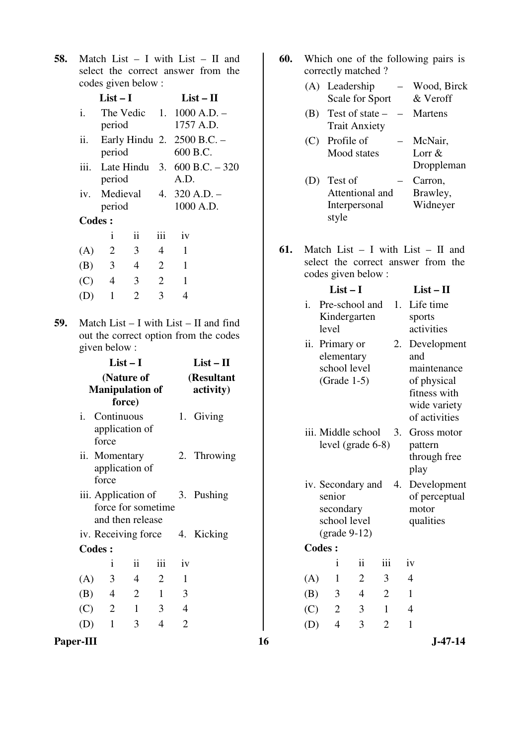**58.** Match List – I with List – II and select the correct answer from the codes given below :

|               | $List-I$                |                          |                | $List-II$                                  |
|---------------|-------------------------|--------------------------|----------------|--------------------------------------------|
| i.            | period                  |                          |                | The Vedic $1.1000$ A.D. $-$<br>1757 A.D.   |
| ii.           | period                  |                          |                | Early Hindu 2. 2500 B.C. -<br>600 B.C.     |
|               | period                  |                          |                | iii. Late Hindu 3. $600 B.C. - 31$<br>A.D. |
|               | period                  |                          |                | iv. Medieval $4.320$ A.D. -<br>1000 A.D.   |
| <b>Codes:</b> |                         |                          |                |                                            |
|               | i                       | $\overline{\mathbf{11}}$ | iii            | iv                                         |
| (A)           | $\overline{2}$          | $\mathfrak{Z}$           | 4              | 1                                          |
| (B)           | $\overline{\mathbf{3}}$ | $\overline{4}$           | 2              | $\mathbf{1}$                               |
| $(C)$ 4       |                         | 3                        | $\overline{2}$ | 1                                          |
| (D)           | $\mathbf{1}$            | $\overline{2}$           | 3              | 4                                          |
|               |                         |                          |                |                                            |

320

**59.** Match List – I with List – II and find out the correct option from the codes given below :

| $List-I$<br>$List - II$<br>(Resultant<br>(Nature of<br><b>Manipulation of</b><br>activity)<br>force) |                |                                                                          |                             |                                                         |                                                                |                                     | anu<br>maintenance<br>of physical<br>fitness with<br>wide variety |                |                |                                                                           |                                            |                                         |
|------------------------------------------------------------------------------------------------------|----------------|--------------------------------------------------------------------------|-----------------------------|---------------------------------------------------------|----------------------------------------------------------------|-------------------------------------|-------------------------------------------------------------------|----------------|----------------|---------------------------------------------------------------------------|--------------------------------------------|-----------------------------------------|
| i.                                                                                                   |                |                                                                          |                             |                                                         |                                                                |                                     |                                                                   |                |                |                                                                           |                                            | of activities<br>Gross motor<br>pattern |
|                                                                                                      |                |                                                                          |                             |                                                         |                                                                |                                     |                                                                   |                |                |                                                                           | play                                       | through free                            |
| iii. Application of<br>3. Pushing<br>force for sometime<br>and then release                          |                |                                                                          |                             |                                                         | iv. Secondary and<br>4.<br>senior<br>secondary<br>school level |                                     |                                                                   |                |                | Development<br>of perceptual<br>motor<br>qualities                        |                                            |                                         |
|                                                                                                      |                |                                                                          |                             | 4.                                                      |                                                                |                                     |                                                                   |                |                |                                                                           |                                            |                                         |
|                                                                                                      |                |                                                                          |                             |                                                         |                                                                |                                     |                                                                   |                |                |                                                                           |                                            |                                         |
|                                                                                                      | $\mathbf{i}$   | ii                                                                       | iii                         | iv                                                      |                                                                |                                     |                                                                   | $\mathbf{1}$   | ii             | iii                                                                       | iv                                         |                                         |
|                                                                                                      | 3              | $\overline{4}$                                                           | $\overline{2}$              | 1                                                       |                                                                |                                     | (A)                                                               | $\mathbf{1}$   | $\overline{2}$ | 3                                                                         | $\overline{4}$                             |                                         |
|                                                                                                      | $\overline{4}$ | $\overline{2}$                                                           | $\mathbf{1}$                | 3                                                       |                                                                |                                     | (B)                                                               | 3              | $\overline{4}$ | $\overline{2}$                                                            | $\mathbf{1}$                               |                                         |
|                                                                                                      | $\overline{2}$ | $\mathbf{1}$                                                             | 3                           | $\overline{4}$                                          |                                                                |                                     | (C)                                                               | $\overline{2}$ | 3              | $\mathbf{1}$                                                              | $\overline{4}$                             |                                         |
|                                                                                                      | $\mathbf{1}$   | 3                                                                        | $\overline{4}$              | $\overline{2}$                                          |                                                                |                                     | (D)                                                               | $\overline{4}$ | 3              | $\overline{2}$                                                            | $\mathbf{1}$                               |                                         |
|                                                                                                      |                |                                                                          |                             |                                                         |                                                                | 16                                  |                                                                   |                |                |                                                                           |                                            | $J-47-14$                               |
|                                                                                                      |                | force<br>force<br><b>Codes:</b><br>(A)<br>(B)<br>(C)<br>(D)<br>Paper-III | Continuous<br>ii. Momentary | application of<br>application of<br>iv. Receiving force |                                                                | 1. Giving<br>2. Throwing<br>Kicking |                                                                   |                | <b>Codes:</b>  | CICILICIItal y<br>school level<br>$(Grade 1-5)$<br>$\text{(grade } 9-12)$ | iii. Middle school<br>level (grade $6-8$ ) | 3.                                      |

**60.** Which one of the following pairs is correctly matched ?

|     | (A) Leadership<br>Scale for Sport           | Wood, Birck<br>& Veroff           |
|-----|---------------------------------------------|-----------------------------------|
| (B) | Test of state –<br><b>Trait Anxiety</b>     | Martens                           |
| (C) | Profile of<br>Mood states                   | McNair,<br>Lorr $&$<br>Droppleman |
|     | Test of<br>Attentional and<br>Interpersonal | Carron,<br>Brawley,<br>Widneyer   |

**61.** Match List – I with List – II and select the correct answer from the codes given below :

style

|     |               | $List-I$                                                                            |                     |                |    | $List - II$                                                                                       |
|-----|---------------|-------------------------------------------------------------------------------------|---------------------|----------------|----|---------------------------------------------------------------------------------------------------|
| i.  | level         | Pre-school and<br>Kindergarten                                                      |                     |                | 1. | Life time<br>sports<br>activities                                                                 |
|     |               | ii. Primary or<br>elementary<br>school level<br>$(Grade 1-5)$                       |                     |                | 2. | Development<br>and<br>maintenance<br>of physical<br>fitness with<br>wide variety<br>of activities |
|     |               | iii. Middle school<br>level (grade 6-8)                                             |                     |                | 3. | Gross motor<br>pattern<br>through free<br>play                                                    |
|     | senior        | iv. Secondary and<br>secondary<br>school level<br>$\left(\text{grade } 9-12\right)$ |                     |                | 4. | Development<br>of perceptual<br>motor<br>qualities                                                |
|     | <b>Codes:</b> |                                                                                     |                     |                |    |                                                                                                   |
|     |               | i                                                                                   | $\ddot{\mathbf{i}}$ | iii            |    | iv                                                                                                |
| (A) |               | 1                                                                                   | $\overline{2}$      | 3              |    | $\overline{4}$                                                                                    |
| (B) |               | 3                                                                                   | $\overline{4}$      | $\overline{2}$ |    | $\mathbf{1}$                                                                                      |
| (C) |               | $\mathbf{2}$                                                                        | 3                   | 1              |    | $\overline{4}$                                                                                    |
| (D) |               | $\overline{4}$                                                                      | 3                   | $\overline{2}$ |    | $\mathbf{1}$                                                                                      |
|     |               |                                                                                     |                     |                |    |                                                                                                   |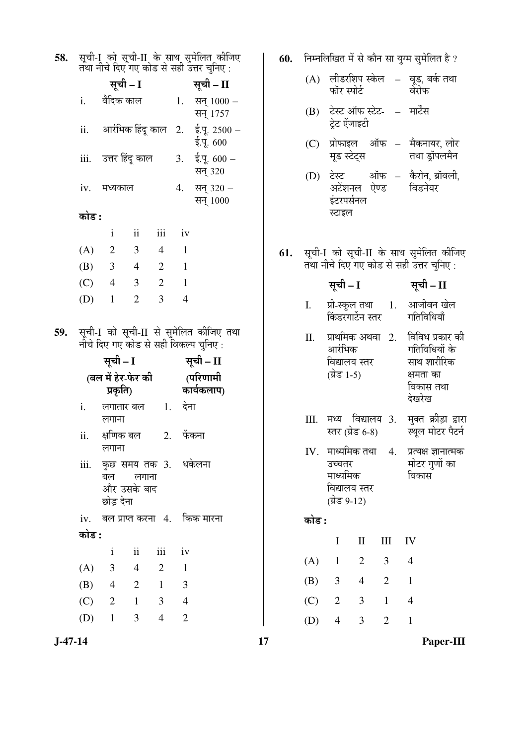| सूची-I  को सूची-II  के साथ सुमेलित कीजिए<br>तथा नीचे दिए गए कोड से सही उत्तर चुनिए :<br>58.<br>60.                    | निम्नलिखित में से कौन सा युग्म सुमेलित है ?                                                 |
|-----------------------------------------------------------------------------------------------------------------------|---------------------------------------------------------------------------------------------|
| सूची – I सूची – II                                                                                                    | (A) लीडरशिप स्केल – वूड, बर्क तथा<br>फॉर स्पोर्ट<br>वेरोफ                                   |
| वैदिक काल<br>i.<br>1. सन् $1000 -$<br>सन् 1757<br>आरंभिक हिंदू काल<br>2. $\dot{\xi}$ . 2500 -<br>ii.                  | टेस्ट ऑफ स्टेट-   –   मार्टेंस<br>(B)<br>ट्रेट ऐंजाइटी                                      |
| ई.पू. 600<br>iii. उत्तर हिंदू काल<br>ई.पू. 600 –<br>3.                                                                | प्रोफाइल ऑफ – मैकनायर, लोर<br>(C)<br>तथा डॉपलमैन<br>मूड स्टेट्स                             |
| सन् 320<br>सन् 320 –<br>मध्यकाल<br>4.<br>iv.<br>सन् 1000                                                              | टेस्ट ऑफ – कैरोन, ब्रॉवली,<br>(D)<br>अटेंशनल ऐण्ड<br>विडनेयर<br>इंटरपर्सनल                  |
| कोड :                                                                                                                 | स्टाइल                                                                                      |
| $\overline{\mathbf{u}}$<br>$\mathbf{i}$<br>iii<br>iv                                                                  |                                                                                             |
| 3<br>(A)<br>$\overline{2}$<br>1<br>4<br>61.<br>(B)<br>3<br>$\overline{2}$<br>$\mathbf{1}$<br>$\overline{4}$           | सूची-I को सूची-II के साथ सुमेलित कीजिए<br>तथा नीचे दिए गए कोड से सही उत्तर चुनिए :          |
| $\overline{2}$<br>(C)<br>3<br>$\mathbf{1}$<br>$\overline{4}$                                                          | सूची – I<br>सूची – II                                                                       |
| $\overline{2}$<br>3<br>$\overline{4}$<br>(D)<br>$\mathbf{1}$                                                          | आजीवन खेल<br>प्री-स्कूल तथा      1.<br>Ι.<br>गतिविधियाँ<br>किंडरगार्टेन स्तर                |
| सूची-I को सूची-II से सुमेलित कीजिए तथा<br>59.<br>नीचे दिए गए कोड से सही विकल्प चुनिए:                                 | विविध प्रकार की<br>प्राथमिक अथवा 2.<br>П.<br>गतिविधियों के<br>आरंभिक                        |
| सूची – II<br>सूची – I<br>(बल में हेर-फेर की<br>(परिणामी<br>कार्यकलाप)<br>प्रकृति)                                     | साथ शारीरिक<br>विद्यालय स्तर<br>(प्रेड 1-5)<br>क्षमता का<br>विकास तथा                       |
| लगातार बल 21. देना<br>i.<br>लगाना                                                                                     | देखरेख<br>मुक्त क्रीड़ा द्वारा<br>मध्य विद्यालय 3.<br>III.                                  |
| ii.<br>क्षणिक बल<br>2. फेंकना<br>लगाना                                                                                | स्तर (ग्रेड 6-8)<br>स्थूल मोटर पैटर्न<br>प्रत्यक्ष ज्ञानात्मक<br>$IV.$ मार्ध्यमिक तथा<br>4. |
| iii.<br>कुछ समय तक 3. धकेलना<br>लगाना<br>बल<br>और उसके बाद<br>छोड देना                                                | मोटर गुणों का<br>उच्चतर<br>माध्यमिक<br>विकास<br>विद्यालय स्तर<br>(ग्रेड 9-12)               |
| बल प्राप्त करना 4.<br>किक मारना<br>iv.                                                                                | कोड :                                                                                       |
| कोड :                                                                                                                 | $\mathbf{I}$<br>$\mathop{\rm III}$<br>IV<br>I                                               |
| $\overline{\mathbf{ii}}$<br>iii<br>$\mathbf{i}$<br>iv<br>3<br>(A)<br>$\overline{2}$<br>$\overline{4}$<br>$\mathbf{1}$ | $\overline{2}$<br>3<br>(A)<br>$\mathbf{1}$<br>4                                             |
| (B)<br>3<br>$\overline{2}$<br>$\mathbf{1}$<br>$\overline{4}$                                                          | $\overline{2}$<br>$\mathfrak{Z}$<br>$\mathbf{1}$<br>(B)<br>$\overline{4}$                   |
|                                                                                                                       | $\mathbf{2}$<br>3<br>$\mathbf{1}$<br>$\overline{4}$                                         |
| (C)<br>$\overline{2}$<br>3<br>$\overline{4}$<br>$\mathbf{1}$                                                          | (C)                                                                                         |

 $17\,$ 

 $J-47-14$ 

Paper-III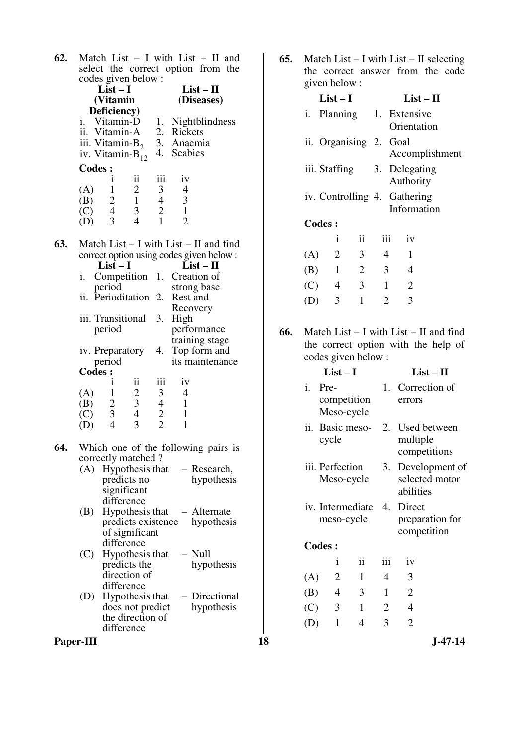**62.** Match List – I with List – II and select the correct option from the codes given below :

|     |               | codes given below :<br>$List-I$                 |                                                 |                                                 |                             | $List - II$                                |  |
|-----|---------------|-------------------------------------------------|-------------------------------------------------|-------------------------------------------------|-----------------------------|--------------------------------------------|--|
|     |               | (Vitamin                                        |                                                 |                                                 |                             | (Diseases)                                 |  |
|     |               | Deficiency)                                     |                                                 |                                                 |                             |                                            |  |
|     |               | i. Vitamin-D                                    |                                                 | 1.                                              |                             | Nightblindness                             |  |
|     |               | ii. Vitamin-A                                   |                                                 |                                                 | 2. Rickets                  |                                            |  |
|     |               | iii. Vitamin-B <sub>2</sub>                     |                                                 |                                                 | 3. Anaemia                  |                                            |  |
|     |               | iv. Vitamin-B <sub>12</sub>                     |                                                 |                                                 | 4. Scabies                  |                                            |  |
|     | <b>Codes:</b> |                                                 |                                                 |                                                 |                             |                                            |  |
|     |               | 1                                               | ii                                              | iii                                             | iv                          |                                            |  |
|     | (A)           |                                                 |                                                 |                                                 | $\overline{4}$              |                                            |  |
|     | (B)           |                                                 |                                                 |                                                 | $\frac{3}{1}$               |                                            |  |
|     | (C)<br>(D)    | $\begin{array}{c} 1 \\ 2 \\ 4 \\ 3 \end{array}$ | $\begin{array}{c} 2 \\ 1 \\ 3 \\ 4 \end{array}$ | $\begin{array}{c} 3 \\ 4 \\ 2 \\ 1 \end{array}$ | $\overline{2}$              |                                            |  |
|     |               |                                                 |                                                 |                                                 |                             |                                            |  |
| 63. |               |                                                 |                                                 |                                                 |                             | Match List $- I$ with List $- II$ and find |  |
|     |               |                                                 |                                                 |                                                 |                             | correct option using codes given below:    |  |
|     |               | $List-I$                                        |                                                 |                                                 |                             | $List - II$                                |  |
|     | i.            | Competition                                     |                                                 |                                                 | 1. Creation of              |                                            |  |
|     |               | period                                          |                                                 |                                                 | strong base                 |                                            |  |
|     |               | ii. Perioditation                               |                                                 | 2.                                              | Rest and                    |                                            |  |
|     |               |                                                 |                                                 |                                                 | Recovery                    |                                            |  |
|     |               | iii. Transitional                               |                                                 | 3.                                              | High                        |                                            |  |
|     |               | period                                          |                                                 |                                                 |                             | performance<br>training stage              |  |
|     |               | iv. Preparatory                                 |                                                 |                                                 |                             | 4. Top form and                            |  |
|     |               | period                                          |                                                 |                                                 |                             | its maintenance                            |  |
|     | <b>Codes:</b> |                                                 |                                                 |                                                 |                             |                                            |  |
|     |               | $\bf i$                                         | ii                                              | iii                                             | iv                          |                                            |  |
|     | (A)           |                                                 |                                                 |                                                 | $\overline{4}$              |                                            |  |
|     | (B)           |                                                 |                                                 |                                                 | $\overline{1}$              |                                            |  |
|     | (C)           | $\begin{array}{c} 1 \\ 2 \\ 3 \\ 4 \end{array}$ | $\begin{array}{c} 2 \\ 3 \\ 4 \\ 3 \end{array}$ | $\begin{array}{c} 3 \\ 4 \\ 2 \\ 2 \end{array}$ | $\mathbf 1$<br>$\mathbf{1}$ |                                            |  |
|     | (D)           |                                                 |                                                 |                                                 |                             |                                            |  |
| 64. |               |                                                 |                                                 |                                                 |                             | Which one of the following pairs is        |  |
|     |               | correctly matched?                              |                                                 |                                                 |                             |                                            |  |
|     |               |                                                 |                                                 |                                                 |                             | $(A)$ Hypothesis that $-$ Research,        |  |
|     |               |                                                 | predicts no                                     |                                                 |                             | hypothesis                                 |  |
|     |               | significant                                     |                                                 |                                                 |                             |                                            |  |
|     |               | difference                                      |                                                 |                                                 |                             |                                            |  |
|     | (B)           |                                                 |                                                 |                                                 |                             | Hypothesis that - Alternate                |  |
|     |               |                                                 |                                                 |                                                 |                             | predicts existence hypothesis              |  |
|     |               | difference                                      | of significant                                  |                                                 |                             |                                            |  |
|     | (C)           |                                                 | Hypothesis that                                 |                                                 | $-$ Null                    |                                            |  |
|     |               |                                                 | predicts the                                    |                                                 |                             | hypothesis                                 |  |
|     |               |                                                 | direction of                                    |                                                 |                             |                                            |  |
|     |               | difference                                      |                                                 |                                                 |                             |                                            |  |
|     | (D)           |                                                 | Hypothesis that                                 |                                                 |                             | - Directional                              |  |
|     |               |                                                 | does not predict                                |                                                 |                             | hypothesis                                 |  |
|     |               |                                                 | the direction of                                |                                                 |                             |                                            |  |

**65.** Match List – I with List – II selecting the correct answer from the code given below :

|     |               | $List-I$       |                              |                |              | $List-II$      |                |
|-----|---------------|----------------|------------------------------|----------------|--------------|----------------|----------------|
|     |               |                | i. Planning 1. Extensive     |                |              | Orientation    |                |
|     |               |                | ii. Organising 2. Goal       |                |              |                | Accomplishment |
|     |               |                | iii. Staffing 3. Delegating  |                |              | Authority      |                |
|     |               |                | iv. Controlling 4. Gathering |                |              | Information    |                |
|     | <b>Codes:</b> |                |                              |                |              |                |                |
|     |               | i              | $\mathbf{ii}$                |                | iii          | iv             |                |
| (A) |               | $\overline{2}$ | 3 <sup>1</sup>               |                | 4            | 1              |                |
| (B) |               | $\overline{1}$ | $\overline{2}$               | $\overline{3}$ |              | 4              |                |
|     | $(C)$ 4       |                | $\mathfrak{Z}$               |                | $\mathbf{1}$ | $\overline{2}$ |                |
|     |               | 3              | $\mathbf{1}$                 |                | 2            | 3              |                |
|     |               |                |                              |                |              |                |                |

**66.** Match List – I with List – II and find the correct option with the help of codes given below :

|           | <b>Codes:</b>     |                                                                                                    |                                                  |                                              |                                         |                                     |                                |                | $List-I$           |                 |                |                                | $List - II$                      |
|-----------|-------------------|----------------------------------------------------------------------------------------------------|--------------------------------------------------|----------------------------------------------|-----------------------------------------|-------------------------------------|--------------------------------|----------------|--------------------|-----------------|----------------|--------------------------------|----------------------------------|
|           | (A)<br>(B)<br>(C) | 1<br>$\frac{2}{3}$                                                                                 | $\ddot{\rm ii}$<br>$rac{2}{3}$<br>$\overline{4}$ | iii<br>3<br>$\overline{4}$<br>$\overline{2}$ | iv<br>4<br>$\mathbf{1}$<br>$\mathbf{1}$ |                                     |                                | $\mathbf{i}$ . | Pre-<br>Meso-cycle | competition     |                | errors                         | 1. Correction of                 |
| 64.       | (D)               | $\overline{4}$<br>correctly matched?                                                               | 3                                                | $\overline{2}$                               |                                         | Which one of the following pairs is |                                |                | cycle              | ii. Basic meso- |                | multiple                       | 2. Used between<br>competitions  |
|           |                   | (A) Hypothesis that                                                                                | predicts no<br>significant                       |                                              |                                         | - Research,<br>hypothesis           |                                |                | iii. Perfection    | Meso-cycle      | 3.             | abilities                      | Development of<br>selected motor |
|           | (B)               | difference<br>Hypothesis that<br>- Alternate<br>predicts existence<br>hypothesis<br>of significant |                                                  |                                              |                                         |                                     | iv. Intermediate<br>meso-cycle |                |                    | 4.              | Direct         | preparation for<br>competition |                                  |
|           |                   |                                                                                                    | difference                                       |                                              |                                         | $-$ Null                            |                                | <b>Codes:</b>  |                    |                 |                |                                |                                  |
|           | (C)               |                                                                                                    | Hypothesis that<br>predicts the                  |                                              |                                         | hypothesis                          |                                |                | $\mathbf{1}$       | ii              | iii            | iv                             |                                  |
|           |                   |                                                                                                    | direction of                                     |                                              |                                         |                                     |                                | (A)            | $\overline{2}$     | $\mathbf{1}$    | $\overline{4}$ | 3                              |                                  |
|           | (D)               |                                                                                                    | difference<br>Hypothesis that                    |                                              |                                         | - Directional                       |                                | (B)            | $\overline{4}$     | 3               | $\mathbf{1}$   | $\overline{2}$                 |                                  |
|           |                   |                                                                                                    | does not predict                                 |                                              |                                         | hypothesis                          |                                | (C)            | 3                  | $\mathbf{1}$    | $\overline{2}$ | 4                              |                                  |
|           |                   |                                                                                                    | the direction of<br>difference                   |                                              |                                         |                                     |                                | (D)            | $\mathbf{1}$       | $\overline{4}$  | 3              | $\overline{2}$                 |                                  |
| Paper-III |                   |                                                                                                    |                                                  |                                              |                                         |                                     | 18                             |                |                    |                 |                |                                | $J-47-14$                        |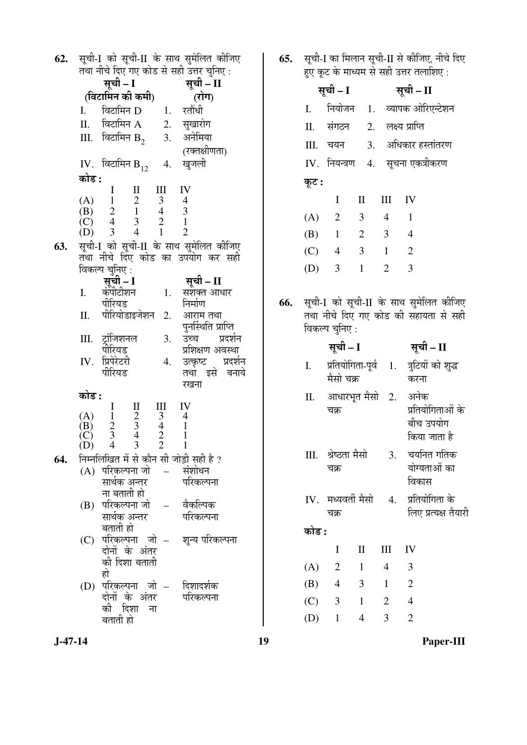| सूची – I<br>(विटामिन की कमी)<br>(रोग)<br>नियोजन<br>विटामिन D 1. रतौंधी<br>$\mathbf{I}$ .<br>I.<br>विटामिन $A$ 2. सुखारोग<br>П.<br>II. संगठन<br>III. विटामिन $B_2$ 3. अनेमिया<br>Ш.<br>चयन<br>(रक्तक्षीणता)<br>$IV.$ नियन्त्रण<br>4. खुजली<br>IV. विटामिन $B_{12}$<br>कोड :<br>कूट :<br>$I$ II<br>Ш<br>IV<br>(A) $1 \t 2 \t 3 \t 4$<br>(B) $2 \t 1 \t 4 \t 3$<br>(C) $4 \t 3 \t 2 \t 1$<br>(D) $3 \t 4 \t 1 \t 2$<br>I<br>$\overline{2}$<br>(A)<br>$\mathbf{1}$<br>(B)<br>सूची-I को सूची-II के साथ सुमेलित कीजिए<br>63.<br>(C)<br>$\overline{4}$<br>तथा नीचे दिए कोड का उपयोग कर सही<br>$\overline{3}$<br>(D)<br>विकल्प चुनिए :<br>सूची – I<br>सूची – II<br>कंपीटीशन<br>I.<br>1.<br>सशक्त आधार<br>सूची-I को सूची<br>66.<br>पीरियड<br>निर्माण<br>तथा नीचे दिए ग<br>पीरियोडाइजेशन 2.<br>П.<br>आराम तथा<br>पुनर्स्थिति प्राप्ति<br>विकल्प चुनिए :<br>प्रदर्शन<br>III. ट्रॉजिशनल<br><b>3.</b> उच्च<br>सूची – I<br>पीरियड<br>प्रशिक्षण अवस्था<br>प्रिपेरेटरी<br>4.<br>IV.<br>उत्कृष्ट प्रदर्शन<br>प्रतियोगित<br>I.<br>पीरियड<br>तथा इसे बनाये<br>मैसो चक्र<br>रखना<br>कोड :<br>П.<br>आधारभूत<br>$\begin{array}{cccccc} \text{I} & \text{II} & \text{III} & \text{IV} \\ 1 & 2 & 3 & 4 \\ 2 & 3 & 4 & 1 \\ 3 & 4 & 2 & 1 \\ 4 & 3 & 2 & 1 \end{array}$<br>चक्र<br>(A)<br>(B)<br>(C)<br>(D)<br>$\overline{4}$<br>श्रेष्ठता मैर<br>III.<br>निम्नलिखित में से कौन सी जोड़ी सही है ?<br>64.<br>चक्र<br>(A) परिकल्पना जो   –   संशोधन<br>परिकल्पना<br>सार्थक अन्तर<br>ना बताती हो<br>IV. मध्यवर्ती ग<br>परिकल्पना जो<br>– वैकल्पिक<br>(B)<br>चक्र<br>सार्थक अन्तर<br>परिकल्पना<br>बताती हो<br>कोड :<br>(C) परिकल्पना जो –  शून्य-परिकल्पना<br>दोनों के अंतर<br>I<br>की दिशा बताती<br>$\overline{c}$<br>(A)<br>हो<br>(B)<br>$\overline{4}$<br>(D) परिकल्पना जो –  दिशादर्शक | 62. | सूची-I को सूची-II के साथ सुमेलित कीजिए<br>तथा नीचे दिए गए कोड से सही उत्तर चुनिए: | 65. | सूची-I का मिला<br>हुए कूट के माध्य |              |
|----------------------------------------------------------------------------------------------------------------------------------------------------------------------------------------------------------------------------------------------------------------------------------------------------------------------------------------------------------------------------------------------------------------------------------------------------------------------------------------------------------------------------------------------------------------------------------------------------------------------------------------------------------------------------------------------------------------------------------------------------------------------------------------------------------------------------------------------------------------------------------------------------------------------------------------------------------------------------------------------------------------------------------------------------------------------------------------------------------------------------------------------------------------------------------------------------------------------------------------------------------------------------------------------------------------------------------------------------------------------------------------------------------------------------------------------------------------------------------------------------------------------------------------------------------------------------------------------------------------------------------------------------------------------------------------------------------------------------------------------------------------|-----|-----------------------------------------------------------------------------------|-----|------------------------------------|--------------|
|                                                                                                                                                                                                                                                                                                                                                                                                                                                                                                                                                                                                                                                                                                                                                                                                                                                                                                                                                                                                                                                                                                                                                                                                                                                                                                                                                                                                                                                                                                                                                                                                                                                                                                                                                                |     | सूची – I<br>सूची – $II$                                                           |     |                                    |              |
|                                                                                                                                                                                                                                                                                                                                                                                                                                                                                                                                                                                                                                                                                                                                                                                                                                                                                                                                                                                                                                                                                                                                                                                                                                                                                                                                                                                                                                                                                                                                                                                                                                                                                                                                                                |     |                                                                                   |     |                                    |              |
|                                                                                                                                                                                                                                                                                                                                                                                                                                                                                                                                                                                                                                                                                                                                                                                                                                                                                                                                                                                                                                                                                                                                                                                                                                                                                                                                                                                                                                                                                                                                                                                                                                                                                                                                                                |     |                                                                                   |     |                                    |              |
|                                                                                                                                                                                                                                                                                                                                                                                                                                                                                                                                                                                                                                                                                                                                                                                                                                                                                                                                                                                                                                                                                                                                                                                                                                                                                                                                                                                                                                                                                                                                                                                                                                                                                                                                                                |     |                                                                                   |     |                                    |              |
|                                                                                                                                                                                                                                                                                                                                                                                                                                                                                                                                                                                                                                                                                                                                                                                                                                                                                                                                                                                                                                                                                                                                                                                                                                                                                                                                                                                                                                                                                                                                                                                                                                                                                                                                                                |     |                                                                                   |     |                                    |              |
|                                                                                                                                                                                                                                                                                                                                                                                                                                                                                                                                                                                                                                                                                                                                                                                                                                                                                                                                                                                                                                                                                                                                                                                                                                                                                                                                                                                                                                                                                                                                                                                                                                                                                                                                                                |     |                                                                                   |     |                                    |              |
|                                                                                                                                                                                                                                                                                                                                                                                                                                                                                                                                                                                                                                                                                                                                                                                                                                                                                                                                                                                                                                                                                                                                                                                                                                                                                                                                                                                                                                                                                                                                                                                                                                                                                                                                                                |     |                                                                                   |     |                                    |              |
|                                                                                                                                                                                                                                                                                                                                                                                                                                                                                                                                                                                                                                                                                                                                                                                                                                                                                                                                                                                                                                                                                                                                                                                                                                                                                                                                                                                                                                                                                                                                                                                                                                                                                                                                                                |     |                                                                                   |     |                                    |              |
|                                                                                                                                                                                                                                                                                                                                                                                                                                                                                                                                                                                                                                                                                                                                                                                                                                                                                                                                                                                                                                                                                                                                                                                                                                                                                                                                                                                                                                                                                                                                                                                                                                                                                                                                                                |     |                                                                                   |     |                                    | $\mathbf{l}$ |
|                                                                                                                                                                                                                                                                                                                                                                                                                                                                                                                                                                                                                                                                                                                                                                                                                                                                                                                                                                                                                                                                                                                                                                                                                                                                                                                                                                                                                                                                                                                                                                                                                                                                                                                                                                |     |                                                                                   |     |                                    |              |
|                                                                                                                                                                                                                                                                                                                                                                                                                                                                                                                                                                                                                                                                                                                                                                                                                                                                                                                                                                                                                                                                                                                                                                                                                                                                                                                                                                                                                                                                                                                                                                                                                                                                                                                                                                |     |                                                                                   |     |                                    |              |
|                                                                                                                                                                                                                                                                                                                                                                                                                                                                                                                                                                                                                                                                                                                                                                                                                                                                                                                                                                                                                                                                                                                                                                                                                                                                                                                                                                                                                                                                                                                                                                                                                                                                                                                                                                |     |                                                                                   |     |                                    |              |
|                                                                                                                                                                                                                                                                                                                                                                                                                                                                                                                                                                                                                                                                                                                                                                                                                                                                                                                                                                                                                                                                                                                                                                                                                                                                                                                                                                                                                                                                                                                                                                                                                                                                                                                                                                |     |                                                                                   |     |                                    |              |
|                                                                                                                                                                                                                                                                                                                                                                                                                                                                                                                                                                                                                                                                                                                                                                                                                                                                                                                                                                                                                                                                                                                                                                                                                                                                                                                                                                                                                                                                                                                                                                                                                                                                                                                                                                |     |                                                                                   |     |                                    |              |
|                                                                                                                                                                                                                                                                                                                                                                                                                                                                                                                                                                                                                                                                                                                                                                                                                                                                                                                                                                                                                                                                                                                                                                                                                                                                                                                                                                                                                                                                                                                                                                                                                                                                                                                                                                |     |                                                                                   |     |                                    |              |
|                                                                                                                                                                                                                                                                                                                                                                                                                                                                                                                                                                                                                                                                                                                                                                                                                                                                                                                                                                                                                                                                                                                                                                                                                                                                                                                                                                                                                                                                                                                                                                                                                                                                                                                                                                |     |                                                                                   |     |                                    |              |
|                                                                                                                                                                                                                                                                                                                                                                                                                                                                                                                                                                                                                                                                                                                                                                                                                                                                                                                                                                                                                                                                                                                                                                                                                                                                                                                                                                                                                                                                                                                                                                                                                                                                                                                                                                |     |                                                                                   |     |                                    |              |
|                                                                                                                                                                                                                                                                                                                                                                                                                                                                                                                                                                                                                                                                                                                                                                                                                                                                                                                                                                                                                                                                                                                                                                                                                                                                                                                                                                                                                                                                                                                                                                                                                                                                                                                                                                |     |                                                                                   |     |                                    |              |
|                                                                                                                                                                                                                                                                                                                                                                                                                                                                                                                                                                                                                                                                                                                                                                                                                                                                                                                                                                                                                                                                                                                                                                                                                                                                                                                                                                                                                                                                                                                                                                                                                                                                                                                                                                |     |                                                                                   |     |                                    |              |
|                                                                                                                                                                                                                                                                                                                                                                                                                                                                                                                                                                                                                                                                                                                                                                                                                                                                                                                                                                                                                                                                                                                                                                                                                                                                                                                                                                                                                                                                                                                                                                                                                                                                                                                                                                |     |                                                                                   |     |                                    |              |
|                                                                                                                                                                                                                                                                                                                                                                                                                                                                                                                                                                                                                                                                                                                                                                                                                                                                                                                                                                                                                                                                                                                                                                                                                                                                                                                                                                                                                                                                                                                                                                                                                                                                                                                                                                |     |                                                                                   |     |                                    |              |
|                                                                                                                                                                                                                                                                                                                                                                                                                                                                                                                                                                                                                                                                                                                                                                                                                                                                                                                                                                                                                                                                                                                                                                                                                                                                                                                                                                                                                                                                                                                                                                                                                                                                                                                                                                |     |                                                                                   |     |                                    |              |
|                                                                                                                                                                                                                                                                                                                                                                                                                                                                                                                                                                                                                                                                                                                                                                                                                                                                                                                                                                                                                                                                                                                                                                                                                                                                                                                                                                                                                                                                                                                                                                                                                                                                                                                                                                |     |                                                                                   |     |                                    |              |
|                                                                                                                                                                                                                                                                                                                                                                                                                                                                                                                                                                                                                                                                                                                                                                                                                                                                                                                                                                                                                                                                                                                                                                                                                                                                                                                                                                                                                                                                                                                                                                                                                                                                                                                                                                |     |                                                                                   |     |                                    |              |
|                                                                                                                                                                                                                                                                                                                                                                                                                                                                                                                                                                                                                                                                                                                                                                                                                                                                                                                                                                                                                                                                                                                                                                                                                                                                                                                                                                                                                                                                                                                                                                                                                                                                                                                                                                |     |                                                                                   |     |                                    |              |
|                                                                                                                                                                                                                                                                                                                                                                                                                                                                                                                                                                                                                                                                                                                                                                                                                                                                                                                                                                                                                                                                                                                                                                                                                                                                                                                                                                                                                                                                                                                                                                                                                                                                                                                                                                |     |                                                                                   |     |                                    |              |
|                                                                                                                                                                                                                                                                                                                                                                                                                                                                                                                                                                                                                                                                                                                                                                                                                                                                                                                                                                                                                                                                                                                                                                                                                                                                                                                                                                                                                                                                                                                                                                                                                                                                                                                                                                |     |                                                                                   |     |                                    |              |
|                                                                                                                                                                                                                                                                                                                                                                                                                                                                                                                                                                                                                                                                                                                                                                                                                                                                                                                                                                                                                                                                                                                                                                                                                                                                                                                                                                                                                                                                                                                                                                                                                                                                                                                                                                |     |                                                                                   |     |                                    |              |
|                                                                                                                                                                                                                                                                                                                                                                                                                                                                                                                                                                                                                                                                                                                                                                                                                                                                                                                                                                                                                                                                                                                                                                                                                                                                                                                                                                                                                                                                                                                                                                                                                                                                                                                                                                |     |                                                                                   |     |                                    |              |
|                                                                                                                                                                                                                                                                                                                                                                                                                                                                                                                                                                                                                                                                                                                                                                                                                                                                                                                                                                                                                                                                                                                                                                                                                                                                                                                                                                                                                                                                                                                                                                                                                                                                                                                                                                |     |                                                                                   |     |                                    |              |
|                                                                                                                                                                                                                                                                                                                                                                                                                                                                                                                                                                                                                                                                                                                                                                                                                                                                                                                                                                                                                                                                                                                                                                                                                                                                                                                                                                                                                                                                                                                                                                                                                                                                                                                                                                |     |                                                                                   |     |                                    |              |
|                                                                                                                                                                                                                                                                                                                                                                                                                                                                                                                                                                                                                                                                                                                                                                                                                                                                                                                                                                                                                                                                                                                                                                                                                                                                                                                                                                                                                                                                                                                                                                                                                                                                                                                                                                |     |                                                                                   |     |                                    |              |
|                                                                                                                                                                                                                                                                                                                                                                                                                                                                                                                                                                                                                                                                                                                                                                                                                                                                                                                                                                                                                                                                                                                                                                                                                                                                                                                                                                                                                                                                                                                                                                                                                                                                                                                                                                |     |                                                                                   |     |                                    |              |
|                                                                                                                                                                                                                                                                                                                                                                                                                                                                                                                                                                                                                                                                                                                                                                                                                                                                                                                                                                                                                                                                                                                                                                                                                                                                                                                                                                                                                                                                                                                                                                                                                                                                                                                                                                |     |                                                                                   |     |                                    | I            |
|                                                                                                                                                                                                                                                                                                                                                                                                                                                                                                                                                                                                                                                                                                                                                                                                                                                                                                                                                                                                                                                                                                                                                                                                                                                                                                                                                                                                                                                                                                                                                                                                                                                                                                                                                                |     |                                                                                   |     |                                    |              |
|                                                                                                                                                                                                                                                                                                                                                                                                                                                                                                                                                                                                                                                                                                                                                                                                                                                                                                                                                                                                                                                                                                                                                                                                                                                                                                                                                                                                                                                                                                                                                                                                                                                                                                                                                                |     |                                                                                   |     |                                    |              |
|                                                                                                                                                                                                                                                                                                                                                                                                                                                                                                                                                                                                                                                                                                                                                                                                                                                                                                                                                                                                                                                                                                                                                                                                                                                                                                                                                                                                                                                                                                                                                                                                                                                                                                                                                                |     | दोनों के अंतर  परिकल्पना                                                          |     |                                    |              |
| 3<br>(C)<br>की दिशा<br>ना                                                                                                                                                                                                                                                                                                                                                                                                                                                                                                                                                                                                                                                                                                                                                                                                                                                                                                                                                                                                                                                                                                                                                                                                                                                                                                                                                                                                                                                                                                                                                                                                                                                                                                                                      |     |                                                                                   |     |                                    |              |
| (D)<br>बताती हो<br>$\mathbf{1}$                                                                                                                                                                                                                                                                                                                                                                                                                                                                                                                                                                                                                                                                                                                                                                                                                                                                                                                                                                                                                                                                                                                                                                                                                                                                                                                                                                                                                                                                                                                                                                                                                                                                                                                                |     |                                                                                   |     |                                    |              |

न सूची-II से कीजिए, नीचे दिए .<br>म से सही उत्तर तलाशिए :

सूची - II

1. व्यापक ओरिएन्टेशन

2. लक्ष्य प्राप्ति

3. अधिकार हस्तांतरण 4. सूचना एकत्रीकरण  $\prod$  $\mathop{\rm III}\nolimits$ IV  $\overline{3}$  $\overline{4}$  $\mathbf{1}$  $\overline{2}$  $\mathfrak{Z}$  $\overline{4}$  $\overline{\mathbf{3}}$  $\overline{2}$  $\mathbf{1}$  $\overline{1}$  $\overline{2}$  $\overline{3}$ iी-II के साथ सुमेलित कीजिए<br>गए कोड की सहायता से सही सूची – II 1. त्रुटियों को शुद्ध **∏-पूर्व** करना अनेक मैसो 2. प्रतियोगिताओं के बीच उपयोग किया जाता है 3. चयनित गतिक सो योग्यताओं का विकास 4. प्रतियोगिता के मैसो लिए प्रत्यक्ष तैयारी  $\prod$  $\mathop{\rm III}\nolimits$ IV  $\overline{4}$  $\mathbf{1}$  $\overline{3}$  $\overline{\mathbf{3}}$  $\mathbf{1}$  $\overline{2}$  $\mathbf{1}$  $\overline{2}$  $\overline{4}$  $\overline{3}$  $\overline{2}$  $\overline{4}$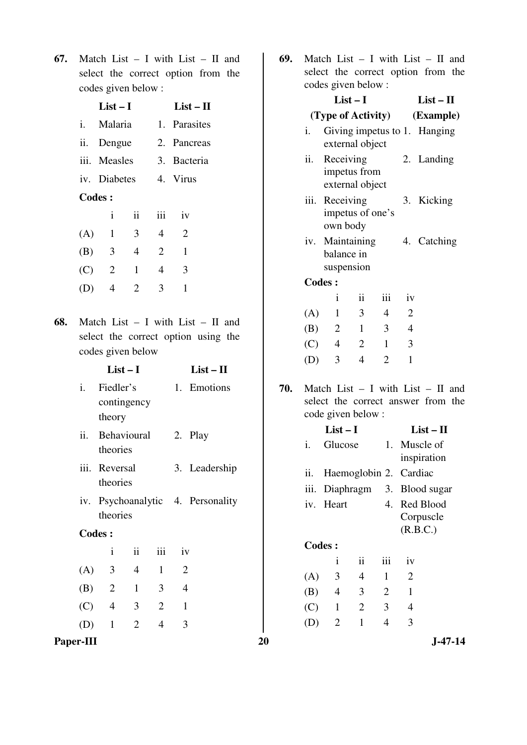**67.** Match List – I with List – II and select the correct option from the codes given below :

|       | List – I              |               | $List-II$ |              |  |  |  |
|-------|-----------------------|---------------|-----------|--------------|--|--|--|
| $i$ . | Malaria               |               |           | 1. Parasites |  |  |  |
|       | ii. Dengue            |               |           | 2. Pancreas  |  |  |  |
|       | iii. Measles          |               |           | 3. Bacteria  |  |  |  |
|       | iv. Diabetes 4. Virus |               |           |              |  |  |  |
|       | Codes:                |               |           |              |  |  |  |
|       | i                     | $\mathbf{ii}$ | iii       | iv           |  |  |  |
| (A)   | $\mathbf{1}$          | 3             | 4         | 2            |  |  |  |
| (B)   | 3                     | 4             | 2         | 1            |  |  |  |
| (C)   | 2                     | 1             | 4         | 3            |  |  |  |
| (D)   | 4                     | 2             | 3         | 1            |  |  |  |
|       |                       |               |           |              |  |  |  |

**68.** Match List – I with List – II and select the correct option using the codes given below

|                | $List-I$                           |                |                |                | $List - II$   |     |           |                                                                                                   |                |                |                          |           |
|----------------|------------------------------------|----------------|----------------|----------------|---------------|-----|-----------|---------------------------------------------------------------------------------------------------|----------------|----------------|--------------------------|-----------|
| $\mathbf{i}$ . | Fiedler's<br>contingency<br>theory |                |                | 1.             | Emotions      | 70. |           | Match List $-$ I with List $-$ II and<br>select the correct answer from the<br>code given below : |                |                |                          |           |
| ii.            | Behavioural                        |                |                |                | 2. Play       |     | i.        | $List-I$<br>Glucose                                                                               |                | 1.             | $List - II$<br>Muscle of |           |
|                | theories                           |                |                |                |               |     |           |                                                                                                   |                |                | inspiration              |           |
|                | iii. Reversal<br>theories          |                |                |                | 3. Leadership |     | ii.       |                                                                                                   |                |                | Haemoglobin 2. Cardiac   |           |
|                |                                    |                |                |                |               |     | iii.      | Diaphragm                                                                                         |                |                | 3. Blood sugar           |           |
|                | iv. Psychoanalytic 4. Personality  |                |                |                |               |     | iv. Heart |                                                                                                   |                | 4. Red Blood   |                          |           |
|                | theories                           |                |                |                |               |     |           |                                                                                                   |                |                | Corpuscle                |           |
|                | <b>Codes:</b>                      |                |                |                |               |     |           |                                                                                                   |                |                | (R.B.C.)                 |           |
|                | $\mathbf{i}$                       | ii             | iii            | iv             |               |     |           | <b>Codes:</b>                                                                                     |                |                |                          |           |
|                |                                    |                |                |                |               |     |           | $\mathbf{i}$                                                                                      | ii             | iii            | iv                       |           |
| (A)            | 3                                  | $\overline{4}$ | $\mathbf{1}$   | $\overline{2}$ |               |     | (A)       | 3                                                                                                 | 4              | $\mathbf{1}$   | $\overline{2}$           |           |
| (B)            | $\overline{2}$                     | $\mathbf{1}$   | 3              | $\overline{4}$ |               |     | (B)       | $\overline{4}$                                                                                    | 3              | $\overline{2}$ | $\mathbf{1}$             |           |
| (C)            | $\overline{4}$                     | 3              | $\overline{2}$ | $\mathbf{1}$   |               |     | (C)       | $\mathbf{1}$                                                                                      | $\overline{2}$ | 3              | $\overline{4}$           |           |
| (D)            | $\mathbf{1}$                       | $\overline{2}$ | $\overline{4}$ | 3              |               |     | (D)       | $\overline{2}$                                                                                    | $\mathbf{1}$   | $\overline{4}$ | 3                        |           |
| Paper-III      |                                    |                |                |                |               | 20  |           |                                                                                                   |                |                |                          | $J-47-14$ |

**69.** Match List – I with List – II and select the correct option from the des given bel

|     |      | codes given below :                          |                |                |                              |                                                                             |  |  |
|-----|------|----------------------------------------------|----------------|----------------|------------------------------|-----------------------------------------------------------------------------|--|--|
|     |      | $List-I$                                     |                | $List - II$    |                              |                                                                             |  |  |
|     |      | (Type of Activity)                           | (Example)      |                |                              |                                                                             |  |  |
|     | i.   | external object                              |                |                | Giving impetus to 1. Hanging |                                                                             |  |  |
|     | ii.  | Receiving<br>impetus from<br>external object |                |                | 2. Landing                   |                                                                             |  |  |
|     | iii. | Receiving<br>impetus of one's<br>own body    |                | 3.             | Kicking                      |                                                                             |  |  |
|     | iv.  | Maintaining<br>balance in<br>suspension      |                |                |                              | 4. Catching                                                                 |  |  |
|     |      | <b>Codes:</b>                                |                |                |                              |                                                                             |  |  |
|     |      | i                                            | ii             | iii            | iv                           |                                                                             |  |  |
|     | (A)  | $\mathbf{1}$                                 | 3              | $\overline{4}$ | $\overline{2}$               |                                                                             |  |  |
|     | (B)  | $\overline{2}$                               | $\mathbf{1}$   | 3              | $\overline{4}$               |                                                                             |  |  |
|     | (C)  | $\overline{4}$                               | $\overline{2}$ | $\mathbf{1}$   | 3                            |                                                                             |  |  |
|     | (D)  | 3                                            | $\overline{4}$ | $\overline{2}$ | 1                            |                                                                             |  |  |
| 70. |      | code given below:                            |                |                |                              | Match List $-$ I with List $-$ II and<br>select the correct answer from the |  |  |
|     |      | $List-I$                                     |                | $List - II$    |                              |                                                                             |  |  |
|     | i.   | Glucose                                      | 1.             |                | Muscle of<br>inspiration     |                                                                             |  |  |
|     | ii.  |                                              |                |                | Haemoglobin 2. Cardiac       |                                                                             |  |  |
|     | iii. | Diaphragm                                    |                | 3.             |                              | Blood sugar                                                                 |  |  |
|     | iv.  | Heart                                        |                | 4.             |                              | Red Blood<br>Corpuscle                                                      |  |  |

# **Codes :**

|     | İ.             | ii. | iii      | 1V           |  |
|-----|----------------|-----|----------|--------------|--|
| (A) | 3              | 4   |          | $\mathbf{2}$ |  |
| (B) | 4              | 3   | $\sim$ 2 | - 1          |  |
| (C) | $\overline{1}$ | 2   | 3        |              |  |
| (D) | <sup>2</sup>   | 1   | 4        | 3            |  |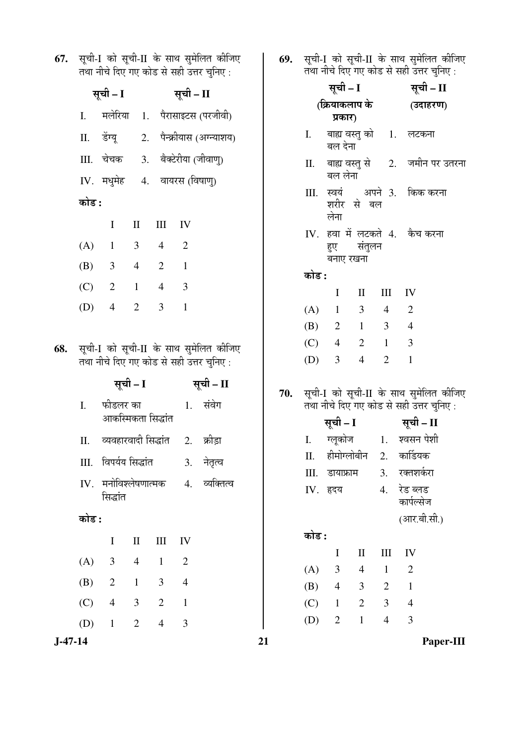| 67. | सूची-I को सूची-II के साथ सुमेलित कीजिए<br>तथा नीचे दिए गए कोड से सही उत्तर चुनिए: |                              |                     |                                  |                                |                                         |       | सूची-I को सूची-II के साथ सुमेलित कीजिए<br>तथा नीचे दिए गए कोड से सही उत्तर चुनिए: |                                                             |                                 |                    |                        |  |  |
|-----|-----------------------------------------------------------------------------------|------------------------------|---------------------|----------------------------------|--------------------------------|-----------------------------------------|-------|-----------------------------------------------------------------------------------|-------------------------------------------------------------|---------------------------------|--------------------|------------------------|--|--|
|     | सूची – I सूची – II                                                                |                              |                     |                                  |                                |                                         |       | सूची – I                                                                          |                                                             |                                 | सूची – II          |                        |  |  |
|     | $I_{\cdot}$                                                                       |                              |                     |                                  |                                | मलेरिया 1. पैरासाइटस (परजीवी)           |       | (क्रियाकलाप के<br>प्रकार)                                                         |                                                             |                                 | (उदाहरण)           |                        |  |  |
|     | П.                                                                                |                              |                     |                                  |                                | डेंग्यू 2. पैन्क्रीयास (अग्न्याशय)      |       | Ι.                                                                                | बाह्य वस्तु को      1.<br>बल देना                           |                                 |                    | लटकना                  |  |  |
|     |                                                                                   |                              |                     |                                  |                                | III. चेचक 3. बैक्टेरीया (जीवाणु)        |       |                                                                                   | बल लेना                                                     | बाह्य वस्तु से 2. जमीन पर उतरना |                    |                        |  |  |
|     | कोड :                                                                             | IV. मधुमेह 4. वायरस (विषाणु) |                     |                                  |                                |                                         |       | स्वयं अपने 3. किक करना<br>III.<br>शरीर से बल                                      |                                                             |                                 |                    |                        |  |  |
|     |                                                                                   |                              |                     |                                  |                                |                                         | लेना  |                                                                                   |                                                             |                                 |                    |                        |  |  |
|     |                                                                                   | $\bf{I}$                     | $\mathbf{I}$        | III                              | IV                             |                                         |       |                                                                                   | IV. हवा में लटकते 4. कैच करना<br>संतुलन<br>हुए<br>बनाए रखना |                                 |                    |                        |  |  |
|     | (A)<br>(B)                                                                        | $\mathbf{1}$<br>3            | 3<br>$\overline{4}$ | $\overline{4}$<br>$\overline{2}$ | $\overline{2}$<br>$\mathbf{1}$ |                                         |       |                                                                                   |                                                             |                                 |                    |                        |  |  |
|     |                                                                                   |                              |                     |                                  |                                |                                         |       | कोड :                                                                             |                                                             |                                 |                    |                        |  |  |
|     | (C)                                                                               | $\overline{2}$               | $\mathbf{1}$        | $\overline{4}$                   | 3                              |                                         |       |                                                                                   | $\mathbf I$                                                 | $\mathbf{I}$                    | $\mathop{\rm III}$ | IV                     |  |  |
|     | (D)                                                                               | $\overline{4}$               | $\overline{2}$      | 3                                | $\mathbf{1}$                   |                                         |       | (A)                                                                               | $\mathbf{1}$                                                | 3                               | $\overline{4}$     | $\overline{2}$         |  |  |
|     |                                                                                   |                              |                     |                                  |                                |                                         |       | (B)                                                                               | $\overline{2}$                                              | $\mathbf{1}$                    | 3                  | $\overline{4}$         |  |  |
| 68. | सूची-I को सूची-II के साथ सुमेलित कीजिए                                            |                              |                     |                                  |                                |                                         | (C)   | $\overline{4}$                                                                    | $\overline{2}$                                              | $\mathbf{1}$                    | 3                  |                        |  |  |
|     |                                                                                   |                              |                     |                                  |                                | तथा नीचे दिए गए कोड से सही उत्तर चुनिए: |       | (D)                                                                               | 3                                                           | $\overline{4}$                  | $\overline{2}$     | $\mathbf{1}$           |  |  |
|     | I.                                                                                | फीडलर का                     |                     |                                  |                                | सूची – I सूची – II<br>1. संवेग          | 70.   | सूची-I को सूची-II के साथ सुमेलित कीजिए<br>तथा नीचे दिए गए कोड से सही उत्तर चुनिए: |                                                             |                                 |                    |                        |  |  |
|     |                                                                                   |                              | आकस्मिकता सिद्धांत  |                                  |                                |                                         |       | सूची – I सूची – II                                                                |                                                             |                                 |                    |                        |  |  |
|     | Π.                                                                                |                              |                     |                                  |                                | व्यवहारवादी सिद्धांत 2. क्रीड़ा         |       | I.                                                                                |                                                             |                                 |                    | ग्लूकोज 1. श्वसन पेशी  |  |  |
|     |                                                                                   | III. विपर्यय सिद्धांत        |                     |                                  | 3.                             | नेतृत्व                                 |       | П.                                                                                | हीमोग्लोबीन                                                 |                                 | 2.                 | कार्डियक               |  |  |
|     |                                                                                   |                              |                     |                                  |                                |                                         |       | Ш.                                                                                | डायाफ्राम                                                   |                                 | 3.                 | रक्तशर्करा             |  |  |
|     | IV.                                                                               | सिद्धांत                     | मनोविश्लेषणात्मक    |                                  | 4.                             | व्यक्तित्व                              |       |                                                                                   | IV. हृदय                                                    |                                 | 4.                 | रेड ब्लड<br>कार्पल्सेज |  |  |
|     |                                                                                   | कोड :                        |                     |                                  |                                |                                         |       |                                                                                   |                                                             |                                 | (आर.बी.सी.)        |                        |  |  |
|     | $\mathbf I$<br>$\mathbf{I}$<br>III<br>IV                                          |                              |                     |                                  |                                |                                         | कोड : |                                                                                   |                                                             |                                 |                    |                        |  |  |
|     | (A)                                                                               | 3                            | $\overline{4}$      | $\mathbf{1}$                     | $\overline{2}$                 |                                         |       |                                                                                   | I                                                           | $\mathbf{I}$                    | $\mathop{\rm III}$ | IV                     |  |  |
|     | (B)                                                                               | $\overline{2}$               | $\mathbf{1}$        | 3                                | $\overline{4}$                 |                                         |       | (A)                                                                               | 3                                                           | $\overline{4}$                  | $\mathbf{1}$       | $\overline{2}$         |  |  |
|     |                                                                                   |                              |                     |                                  |                                |                                         |       | (B)                                                                               | $\overline{4}$                                              | 3                               | $\overline{2}$     | $\mathbf{1}$           |  |  |
|     | (C)                                                                               | $\overline{4}$               | 3                   | $\overline{2}$                   | $\mathbf{1}$                   |                                         |       | (C)                                                                               | $\mathbf{1}$                                                | $\overline{2}$                  | 3                  | $\overline{4}$         |  |  |
|     | (D)                                                                               | $\mathbf{1}$                 | $\overline{2}$      | $\overline{4}$                   | 3                              |                                         |       | (D)                                                                               | $\overline{2}$                                              | $\mathbf{1}$                    | $\overline{4}$     | 3                      |  |  |

**J-47-14 21 Paper-III**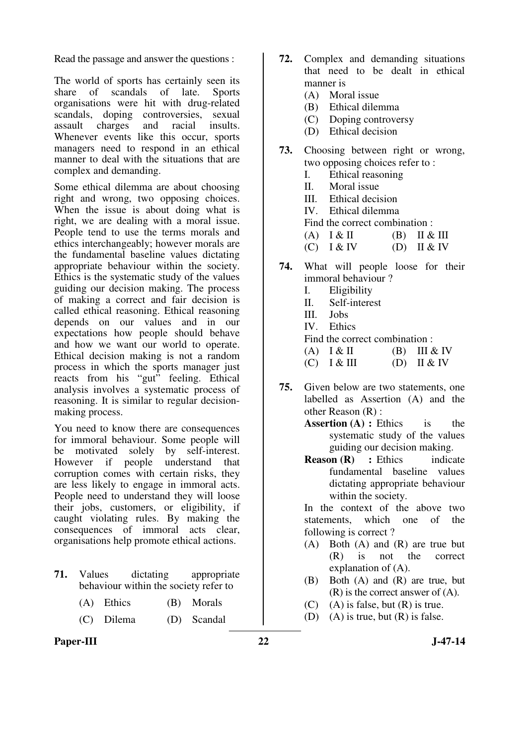Read the passage and answer the questions :

The world of sports has certainly seen its share of scandals of late. Sports organisations were hit with drug-related scandals, doping controversies, sexual assault charges and racial insults. Whenever events like this occur, sports managers need to respond in an ethical manner to deal with the situations that are complex and demanding.

Some ethical dilemma are about choosing right and wrong, two opposing choices. When the issue is about doing what is right, we are dealing with a moral issue. People tend to use the terms morals and ethics interchangeably; however morals are the fundamental baseline values dictating appropriate behaviour within the society. Ethics is the systematic study of the values guiding our decision making. The process of making a correct and fair decision is called ethical reasoning. Ethical reasoning depends on our values and in our expectations how people should behave and how we want our world to operate. Ethical decision making is not a random process in which the sports manager just reacts from his "gut" feeling. Ethical analysis involves a systematic process of reasoning. It is similar to regular decisionmaking process.

You need to know there are consequences for immoral behaviour. Some people will be motivated solely by self-interest. However if people understand that corruption comes with certain risks, they are less likely to engage in immoral acts. People need to understand they will loose their jobs, customers, or eligibility, if caught violating rules. By making the consequences of immoral acts clear, organisations help promote ethical actions.

- **71.** Values dictating appropriate behaviour within the society refer to
	- (A) Ethics (B) Morals
	- (C) Dilema (D) Scandal
- **72.** Complex and demanding situations that need to be dealt in ethical manner is
	- (A) Moral issue
	- (B) Ethical dilemma
	- (C) Doping controversy
	- (D) Ethical decision
- **73.** Choosing between right or wrong, two opposing choices refer to :
	- I. Ethical reasoning
	- II. Moral issue
	- III. Ethical decision
	- IV. Ethical dilemma
	- Find the correct combination :
	- (A)  $I & I \n\in \Pi$  (B)  $II & I \n\in \Pi$
	- $(C)$  I & IV  $(D)$  II & IV
- **74.** What will people loose for their immoral behaviour ?
	- I. Eligibility
	- II. Self-interest
	- III. Jobs
	- IV. Ethics
	- Find the correct combination :
	- $(A)$   $\left[ \begin{array}{cc} \& \text{II} \\ \& \text{III} \end{array} \right]$   $(B)$   $\left[ \begin{array}{cc} \text{III} & \& \text{IV} \\ \end{array} \right]$  $(C)$  I & III (D) II & IV
- **75.** Given below are two statements, one labelled as Assertion (A) and the other Reason (R) :
	- **Assertion (A) : Ethics** is the systematic study of the values guiding our decision making.
	- **Reason (R)** : Ethics indicate fundamental baseline values dictating appropriate behaviour within the society.

In the context of the above two statements, which one of the following is correct ?

- (A) Both (A) and (R) are true but (R) is not the correct explanation of (A).
- (B) Both (A) and (R) are true, but (R) is the correct answer of (A).
- $(C)$  (A) is false, but  $(R)$  is true.
- (D) (A) is true, but  $(R)$  is false.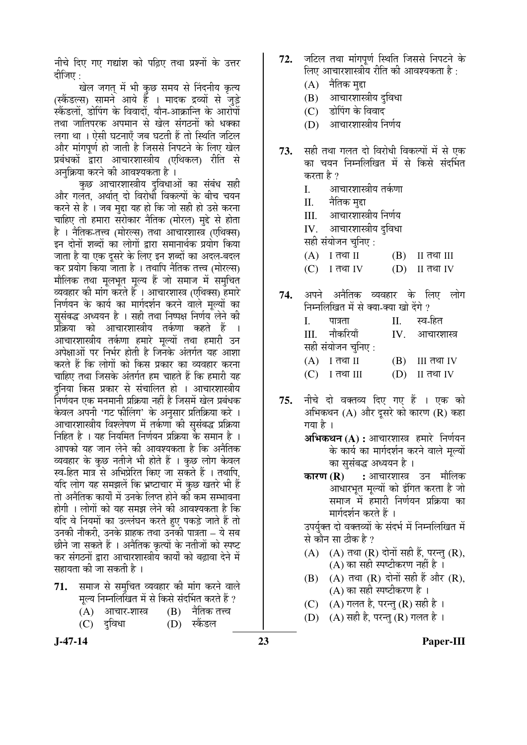नीचे दिए गए गद्यांश को पढ़िए तथा प्रश्नों के उत्तर दीजिए $\,$ :

खेल जगत में भी कुछ समय से निंदनीय कृत्य (स्कैंडल्स) सामने आये हैं । मादक द्रव्यों से जुड़े स्कैंडलों. डोपिंग के विवादों. यौन-आक्रान्ति के आरोपों तथा जातिपरक अपमान से खेल संगठनों को धक्का लगा था । ऐसी घटनाएँ जब घटती हैं तो स्थिति जटिल और मांगपूर्ण हो जाती है जिससे निपटने के लिए खेल प्रबंधकों द्वारा आचारशास्त्रीय (एथिकल) रीति से अनुक्रिया करने की आवश्यकता है ।

कुछ आचारशास्त्रीय दुविधाओं का संबंध सही और गलत. अर्थात दो विरोधी विकल्पों के बीच चयन करने से है । जब मद्दा यह हो कि जो सही हो उसे करना चाहिए तो हमारा सरोकार नैतिक (मोरल) मद्दे से होता है । नैतिक-तत्त्व (मोरल्स) तथा आचारशास्त्र (एथिक्स) इन दोनों शब्दों का लोगों द्वारा समानार्थक प्रयोग किया जाता है या एक दुसरे के लिए इन शब्दों का अदल-बदल कर प्रयोग किया जाता है । तथापि नैतिक तत्त्व (मोरल्स) मौलिक तथा मलभत मल्य हैं जो समाज में समचित व्यवहार की मांग करते हैं । आचारशास्त्र (एथिक्स) हमारे निर्णयन के कार्य का मार्गदर्शन करने वाले मुल्यों का सुसंबद्ध अध्ययन है । सही तथा निष्पक्ष निर्णय लेने की प्रक्रिया को आचारशास्त्रीय तर्कणा कहते हैं आचारशास्त्रीय तर्कणा हमारे मूल्यों तथा हमारी उन अपेक्षाओं पर निर्भर होती है जिनके अंतर्गत यह आशा करते हैं कि लोगों को किस प्रकार का व्यवहार करना चाहिए तथा जिसके अंतर्गत हम चाहते हैं कि हमारी यह दुनिया किस प्रकार से संचालित हो । आचारशास्त्रीय निर्णयन एक मनमानी प्रक्रिया नहीं है जिसमें खेल प्रबंधक केवल अपनी 'गट फीलिंग' के अनुसार प्रतिक्रिया करे । आचारशास्त्रीय विश्लेषण में तर्कणा की सुसंबद्ध प्रक्रिया निहित है । यह नियमित निर्णयन प्रक्रिया के समान है । आपको यह जान लेने की आवश्यकता है कि अनैतिक व्यवहार के कुछ नतीजे भी होते हैं । कुछ लोग केवल स्व-हित मात्र से अभिप्रेरित किए जा सकते हैं । तथापि. यदि लोग यह समझलें कि भ्रष्टाचार में कुछ खतरे भी हैं तो अनैतिक कार्यों में उनके लिप्त होने की कम सम्भावना होगी । लोगों को यह समझ लेने की आवश्यकता है कि यदि वे नियमों का उल्लंघन करते हए पकड़े जाते हैं तो उनकी नौकरी, उनके ग्राहक तथा उनकी पात्रता – ये सब छीने जा सकते हैं । अनैतिक कृत्यों के नतीजों को स्पष्ट कर संगठनों द्रारा आचारशास्त्रीय कार्यों को बढावा देने में सहायता की जा सकती है ।

- समाज से समचित व्यवहार की मांग करने वाले 71. मल्य निम्नलिखित में से किसे संदर्भित करते हैं ?
	- नैतिक तत्त्व  $(A)$ आचार-शास्त्र (B)

स्कैंडल

- $(C)$ दुविधा (D)
- $J-47-14$
- जटिल तथा मांगपर्ण स्थिति जिससे निपटने के 72. लिए आचारशास्त्रीय रीति की आवश्यकता है :
	- $(A)$  नैतिक मुद्दा
	- आचारशास्त्रीय दविधा (B)
	- डोपिंग के विवाद  $(C)$
	- आचारशास्त्रीय निर्णय  $(D)$
- सही तथा गलत दो विरोधी विकल्पों में से एक 73. का चयन निम्नलिखित में से किसे संदर्भित करता है ?
	- आचारशास्त्रीय तर्कणा I.
	- II. नैतिक मद्दा
	- आचारशास्त्रीय निर्णय III.
	- आचारशास्त्रीय दविधा  $IV.$
	- सही संयोजन चुनिए :
	- I तथा II  $(A)$ (B) II तथा III
	- $(C)$ <u>।</u> तथा IV II तथा IV (D)
- अपने अनैतिक व्यवहार के लिए लोग 74. निम्नलिखित में से क्या-क्या खो देंगे ? I. पात्रता स्व-हित  $\Pi$ . नौकरियाँ IV. III. आचारशास्त्र सही संयोजन चुनिए :  $(A)$  I तथा II (B) III तथा IV  $(C)$ ा तथा III (D) II तथा IV
- नीचे दो वक्तव्य दिए गए हैं । एक को 75. अभिकथन (A) और दूसरे को कारण (R) कहा गया है ।
	- अभिकथन (A) : आचारशास्त्र हमारे निर्णयन के कार्य का मार्गदर्शन करने वाले मुल्यों का सुसंबद्ध अध्ययन है ।
	- : आचारशास्त्र उन मौलिक कारण $(R)$ आधारभत मल्यों को इंगित करता है जो समाज में हमारी निर्णयन प्रक्रिया का मार्गदर्शन करते हैं ।

उपर्युक्त दो वक्तव्यों के संदर्भ में निम्नलिखित में से कौन सा तीक है ?

- (A)  $(A)$  तथा (R) दोनों सही हैं, परन्तु (R), (A) का सही स्पष्टीकरण नहीं है ।
- (A) तथा (R) दोनों सही हैं और (R).  $(B)$ (A) का सही स्पष्टीकरण है।
- $(C)$ (A) गलत है, परन्तु (R) सही है)।
- $(D)$ (A) सही है, परन्तु (R) गलत है ।